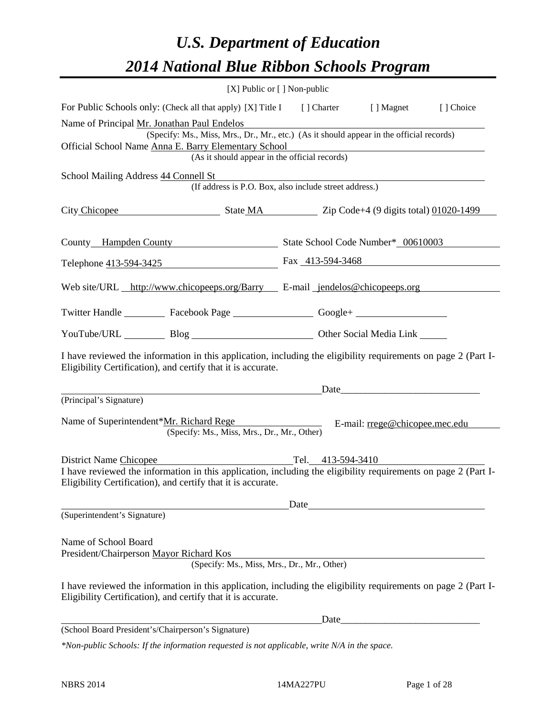## *U.S. Department of Education 2014 National Blue Ribbon Schools Program*

|                                                                                                                                                                                                          | $[X]$ Public or $[ ]$ Non-public            |                                                        |                                                                                                                                                                                                                                |           |
|----------------------------------------------------------------------------------------------------------------------------------------------------------------------------------------------------------|---------------------------------------------|--------------------------------------------------------|--------------------------------------------------------------------------------------------------------------------------------------------------------------------------------------------------------------------------------|-----------|
| For Public Schools only: (Check all that apply) [X] Title I [] Charter [] Magnet                                                                                                                         |                                             |                                                        |                                                                                                                                                                                                                                | [] Choice |
| Name of Principal Mr. Jonathan Paul Endelos<br>(Specify: Ms., Miss, Mrs., Dr., Mr., etc.) (As it should appear in the official records)<br>Official School Name Anna E. Barry Elementary School          |                                             | (As it should appear in the official records)          | <u> 1989 - Johann Stoff, deutscher Stoffen und der Stoffen und der Stoffen und der Stoffen und der Stoffen und der</u>                                                                                                         |           |
| School Mailing Address 44 Connell St                                                                                                                                                                     |                                             | (If address is P.O. Box, also include street address.) |                                                                                                                                                                                                                                |           |
| City Chicopee State MA Zip Code+4 (9 digits total) 01020-1499                                                                                                                                            |                                             |                                                        |                                                                                                                                                                                                                                |           |
| County Hampden County State School Code Number* 00610003                                                                                                                                                 |                                             |                                                        |                                                                                                                                                                                                                                |           |
| Telephone 413-594-3425 Fax 413-594-3468                                                                                                                                                                  |                                             |                                                        |                                                                                                                                                                                                                                |           |
| Web site/URL http://www.chicopeeps.org/Barry E-mail jendelos@chicopeeps.org                                                                                                                              |                                             |                                                        |                                                                                                                                                                                                                                |           |
| Twitter Handle ___________ Facebook Page ___________________ Google+ ____________                                                                                                                        |                                             |                                                        |                                                                                                                                                                                                                                |           |
| YouTube/URL Blog Blog Discount Other Social Media Link                                                                                                                                                   |                                             |                                                        |                                                                                                                                                                                                                                |           |
| I have reviewed the information in this application, including the eligibility requirements on page 2 (Part I-<br>Eligibility Certification), and certify that it is accurate.                           |                                             |                                                        |                                                                                                                                                                                                                                |           |
|                                                                                                                                                                                                          |                                             |                                                        | Date and the contract of the contract of the contract of the contract of the contract of the contract of the contract of the contract of the contract of the contract of the contract of the contract of the contract of the c |           |
| (Principal's Signature)<br>Name of Superintendent*Mr. Richard Rege                                                                                                                                       | (Specify: Ms., Miss, Mrs., Dr., Mr., Other) |                                                        | E-mail: rrege@chicopee.mec.edu                                                                                                                                                                                                 |           |
| District Name Chicopee<br>I have reviewed the information in this application, including the eligibility requirements on page 2 (Part I-<br>Eligibility Certification), and certify that it is accurate. |                                             | Tel. 413-594-3410                                      |                                                                                                                                                                                                                                |           |
|                                                                                                                                                                                                          |                                             | Date                                                   |                                                                                                                                                                                                                                |           |
| (Superintendent's Signature)                                                                                                                                                                             |                                             |                                                        |                                                                                                                                                                                                                                |           |
| Name of School Board<br>President/Chairperson Mayor Richard Kos                                                                                                                                          | (Specify: Ms., Miss, Mrs., Dr., Mr., Other) |                                                        |                                                                                                                                                                                                                                |           |
| I have reviewed the information in this application, including the eligibility requirements on page 2 (Part I-<br>Eligibility Certification), and certify that it is accurate.                           |                                             |                                                        |                                                                                                                                                                                                                                |           |
|                                                                                                                                                                                                          |                                             | Date                                                   |                                                                                                                                                                                                                                |           |
| (School Board President's/Chairperson's Signature)                                                                                                                                                       |                                             |                                                        |                                                                                                                                                                                                                                |           |
| $*$ Non-public Schools: If the information requested is not applicable, write $N/A$ in the space.                                                                                                        |                                             |                                                        |                                                                                                                                                                                                                                |           |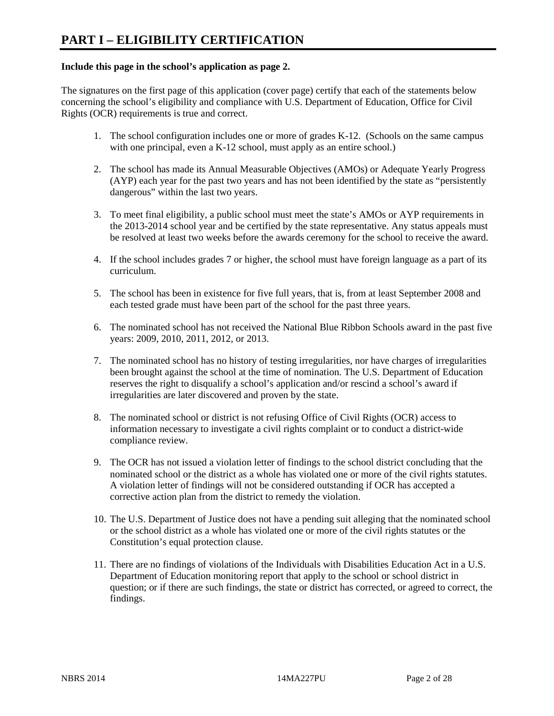### **Include this page in the school's application as page 2.**

The signatures on the first page of this application (cover page) certify that each of the statements below concerning the school's eligibility and compliance with U.S. Department of Education, Office for Civil Rights (OCR) requirements is true and correct.

- 1. The school configuration includes one or more of grades K-12. (Schools on the same campus with one principal, even a K-12 school, must apply as an entire school.)
- 2. The school has made its Annual Measurable Objectives (AMOs) or Adequate Yearly Progress (AYP) each year for the past two years and has not been identified by the state as "persistently dangerous" within the last two years.
- 3. To meet final eligibility, a public school must meet the state's AMOs or AYP requirements in the 2013-2014 school year and be certified by the state representative. Any status appeals must be resolved at least two weeks before the awards ceremony for the school to receive the award.
- 4. If the school includes grades 7 or higher, the school must have foreign language as a part of its curriculum.
- 5. The school has been in existence for five full years, that is, from at least September 2008 and each tested grade must have been part of the school for the past three years.
- 6. The nominated school has not received the National Blue Ribbon Schools award in the past five years: 2009, 2010, 2011, 2012, or 2013.
- 7. The nominated school has no history of testing irregularities, nor have charges of irregularities been brought against the school at the time of nomination. The U.S. Department of Education reserves the right to disqualify a school's application and/or rescind a school's award if irregularities are later discovered and proven by the state.
- 8. The nominated school or district is not refusing Office of Civil Rights (OCR) access to information necessary to investigate a civil rights complaint or to conduct a district-wide compliance review.
- 9. The OCR has not issued a violation letter of findings to the school district concluding that the nominated school or the district as a whole has violated one or more of the civil rights statutes. A violation letter of findings will not be considered outstanding if OCR has accepted a corrective action plan from the district to remedy the violation.
- 10. The U.S. Department of Justice does not have a pending suit alleging that the nominated school or the school district as a whole has violated one or more of the civil rights statutes or the Constitution's equal protection clause.
- 11. There are no findings of violations of the Individuals with Disabilities Education Act in a U.S. Department of Education monitoring report that apply to the school or school district in question; or if there are such findings, the state or district has corrected, or agreed to correct, the findings.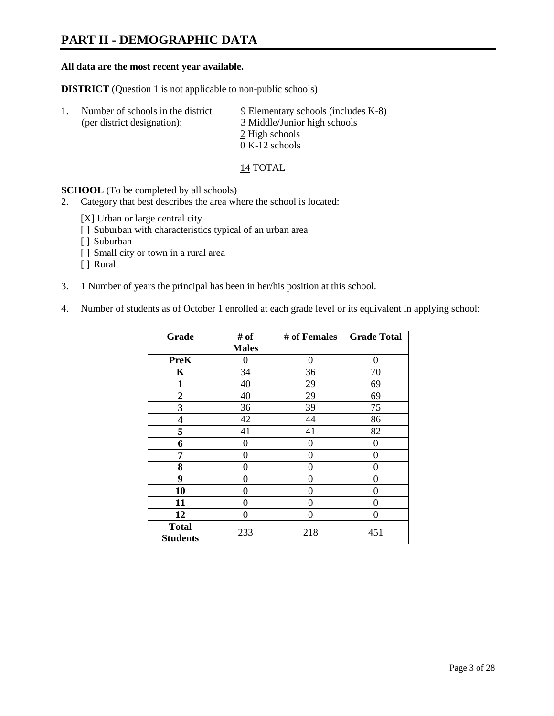## **PART II - DEMOGRAPHIC DATA**

### **All data are the most recent year available.**

**DISTRICT** (Question 1 is not applicable to non-public schools)

| -1. | Number of schools in the district<br>(per district designation): | $9$ Elementary schools (includes K-8)<br>3 Middle/Junior high schools<br>2 High schools |
|-----|------------------------------------------------------------------|-----------------------------------------------------------------------------------------|
|     |                                                                  | $0 K-12$ schools                                                                        |

14 TOTAL

**SCHOOL** (To be completed by all schools)

- 2. Category that best describes the area where the school is located:
	- [X] Urban or large central city
	- [ ] Suburban with characteristics typical of an urban area
	- [ ] Suburban
	- [ ] Small city or town in a rural area
	- [ ] Rural
- 3. 1 Number of years the principal has been in her/his position at this school.
- 4. Number of students as of October 1 enrolled at each grade level or its equivalent in applying school:

| Grade                           | # of         | # of Females | <b>Grade Total</b> |
|---------------------------------|--------------|--------------|--------------------|
|                                 | <b>Males</b> |              |                    |
| <b>PreK</b>                     | 0            | $\theta$     | $\Omega$           |
| K                               | 34           | 36           | 70                 |
| $\mathbf{1}$                    | 40           | 29           | 69                 |
| $\mathbf{2}$                    | 40           | 29           | 69                 |
| 3                               | 36           | 39           | 75                 |
| 4                               | 42           | 44           | 86                 |
| 5                               | 41           | 41           | 82                 |
| 6                               | 0            | 0            | 0                  |
| 7                               | 0            | 0            | 0                  |
| 8                               | 0            | 0            | 0                  |
| 9                               | 0            | 0            | 0                  |
| 10                              | 0            | $\Omega$     | 0                  |
| 11                              | 0            | 0            | 0                  |
| 12                              | 0            | 0            | 0                  |
| <b>Total</b><br><b>Students</b> | 233          | 218          | 451                |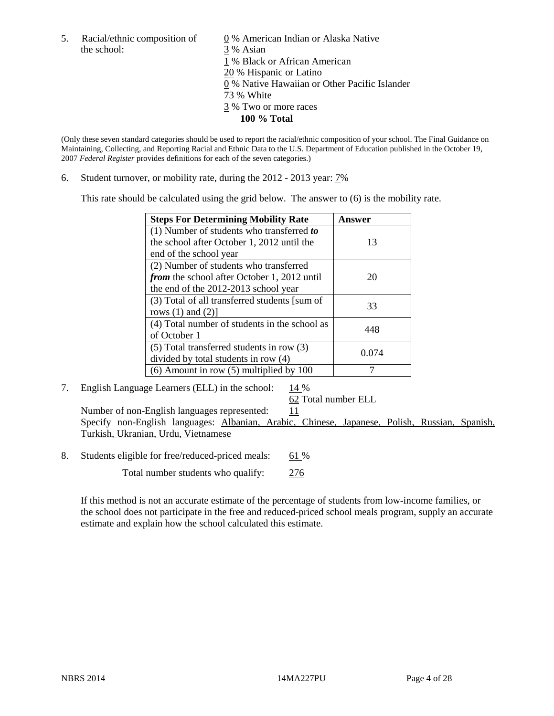the school: 3 % Asian

5. Racial/ethnic composition of  $\qquad \qquad \underline{0}$  % American Indian or Alaska Native 1 % Black or African American 20 % Hispanic or Latino 0 % Native Hawaiian or Other Pacific Islander 73 % White 3 % Two or more races **100 % Total** 

(Only these seven standard categories should be used to report the racial/ethnic composition of your school. The Final Guidance on Maintaining, Collecting, and Reporting Racial and Ethnic Data to the U.S. Department of Education published in the October 19, 2007 *Federal Register* provides definitions for each of the seven categories.)

6. Student turnover, or mobility rate, during the 2012 - 2013 year: 7%

This rate should be calculated using the grid below. The answer to (6) is the mobility rate.

| <b>Steps For Determining Mobility Rate</b>    | Answer |  |
|-----------------------------------------------|--------|--|
| (1) Number of students who transferred to     |        |  |
| the school after October 1, 2012 until the    | 13     |  |
| end of the school year                        |        |  |
| (2) Number of students who transferred        |        |  |
| from the school after October 1, 2012 until   | 20     |  |
| the end of the 2012-2013 school year          |        |  |
| (3) Total of all transferred students [sum of | 33     |  |
| rows $(1)$ and $(2)$ ]                        |        |  |
| (4) Total number of students in the school as | 448    |  |
| of October 1                                  |        |  |
| $(5)$ Total transferred students in row $(3)$ | 0.074  |  |
| divided by total students in row (4)          |        |  |
| $(6)$ Amount in row $(5)$ multiplied by 100   |        |  |

7. English Language Learners (ELL) in the school:  $14\%$ 

62 Total number ELL

Number of non-English languages represented:  $11$  Specify non-English languages: Albanian, Arabic, Chinese, Japanese, Polish, Russian, Spanish, Turkish, Ukranian, Urdu, Vietnamese

8. Students eligible for free/reduced-priced meals: 61 %

Total number students who qualify: 276

If this method is not an accurate estimate of the percentage of students from low-income families, or the school does not participate in the free and reduced-priced school meals program, supply an accurate estimate and explain how the school calculated this estimate.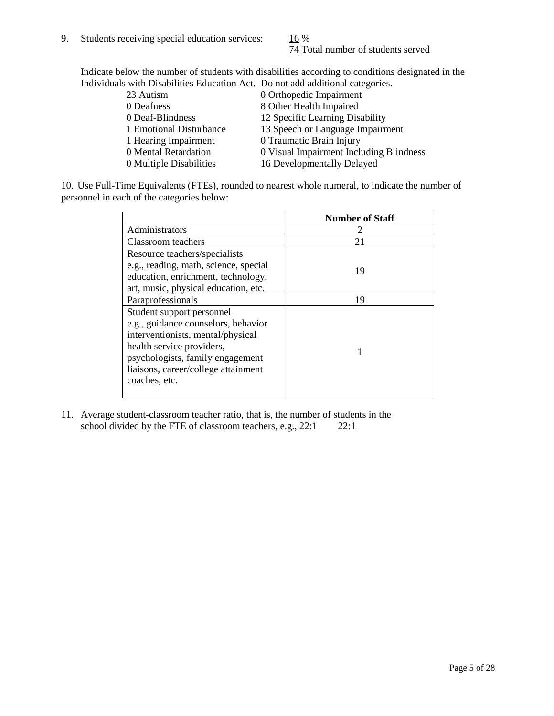74 Total number of students served

Indicate below the number of students with disabilities according to conditions designated in the Individuals with Disabilities Education Act. Do not add additional categories.

| <u>marritano with Disachitity Buatanon ritti Do not auu auuncha tattus ilitori</u> |                                         |
|------------------------------------------------------------------------------------|-----------------------------------------|
| 23 Autism                                                                          | 0 Orthopedic Impairment                 |
| 0 Deafness                                                                         | 8 Other Health Impaired                 |
| 0 Deaf-Blindness                                                                   | 12 Specific Learning Disability         |
| 1 Emotional Disturbance                                                            | 13 Speech or Language Impairment        |
| 1 Hearing Impairment                                                               | 0 Traumatic Brain Injury                |
| 0 Mental Retardation                                                               | 0 Visual Impairment Including Blindness |
| 0 Multiple Disabilities                                                            | 16 Developmentally Delayed              |
|                                                                                    |                                         |

10. Use Full-Time Equivalents (FTEs), rounded to nearest whole numeral, to indicate the number of personnel in each of the categories below:

|                                       | <b>Number of Staff</b> |
|---------------------------------------|------------------------|
| Administrators                        |                        |
| Classroom teachers                    | 21                     |
| Resource teachers/specialists         |                        |
| e.g., reading, math, science, special | 19                     |
| education, enrichment, technology,    |                        |
| art, music, physical education, etc.  |                        |
| Paraprofessionals                     | 19                     |
| Student support personnel             |                        |
| e.g., guidance counselors, behavior   |                        |
| interventionists, mental/physical     |                        |
| health service providers,             |                        |
| psychologists, family engagement      |                        |
| liaisons, career/college attainment   |                        |
| coaches, etc.                         |                        |
|                                       |                        |

11. Average student-classroom teacher ratio, that is, the number of students in the school divided by the FTE of classroom teachers, e.g.,  $22:1$   $22:1$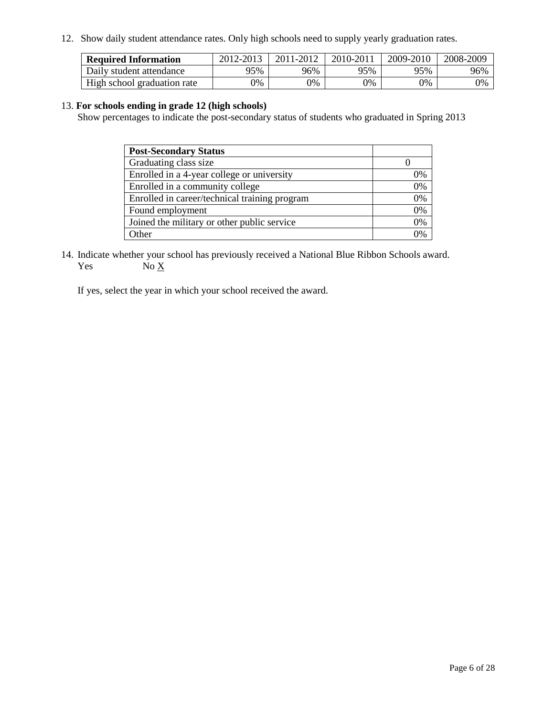12. Show daily student attendance rates. Only high schools need to supply yearly graduation rates.

| <b>Required Information</b> | 2012-2013     | 2011-2012 | 2010-2011 | 2009-2010 | 2008-2009 |
|-----------------------------|---------------|-----------|-----------|-----------|-----------|
| Daily student attendance    | 95%           | 96%       | 95%       | 95%       | 96%       |
| High school graduation rate | $\gamma_{\%}$ | 0%        | 0%        | 0%        | 0%        |

### 13. **For schools ending in grade 12 (high schools)**

Show percentages to indicate the post-secondary status of students who graduated in Spring 2013

| <b>Post-Secondary Status</b>                  |                |
|-----------------------------------------------|----------------|
| Graduating class size                         |                |
| Enrolled in a 4-year college or university    | 0%             |
| Enrolled in a community college               | 0%             |
| Enrolled in career/technical training program | 0%             |
| Found employment                              | 0%             |
| Joined the military or other public service   | 0%             |
| <b>Other</b>                                  | $\gamma_{0/2}$ |

14. Indicate whether your school has previously received a National Blue Ribbon Schools award. Yes  $No \underline{X}$ 

If yes, select the year in which your school received the award.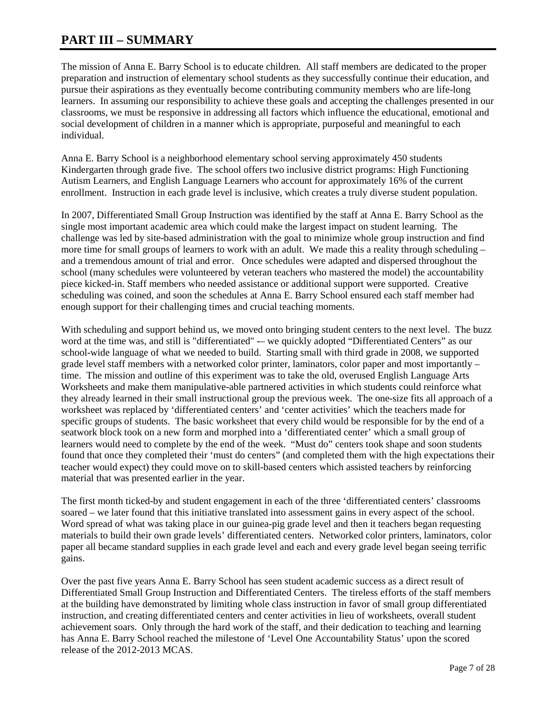## **PART III – SUMMARY**

The mission of Anna E. Barry School is to educate children. All staff members are dedicated to the proper preparation and instruction of elementary school students as they successfully continue their education, and pursue their aspirations as they eventually become contributing community members who are life-long learners. In assuming our responsibility to achieve these goals and accepting the challenges presented in our classrooms, we must be responsive in addressing all factors which influence the educational, emotional and social development of children in a manner which is appropriate, purposeful and meaningful to each individual.

Anna E. Barry School is a neighborhood elementary school serving approximately 450 students Kindergarten through grade five. The school offers two inclusive district programs: High Functioning Autism Learners, and English Language Learners who account for approximately 16% of the current enrollment. Instruction in each grade level is inclusive, which creates a truly diverse student population.

In 2007, Differentiated Small Group Instruction was identified by the staff at Anna E. Barry School as the single most important academic area which could make the largest impact on student learning. The challenge was led by site-based administration with the goal to minimize whole group instruction and find more time for small groups of learners to work with an adult. We made this a reality through scheduling – and a tremendous amount of trial and error. Once schedules were adapted and dispersed throughout the school (many schedules were volunteered by veteran teachers who mastered the model) the accountability piece kicked-in. Staff members who needed assistance or additional support were supported. Creative scheduling was coined, and soon the schedules at Anna E. Barry School ensured each staff member had enough support for their challenging times and crucial teaching moments.

With scheduling and support behind us, we moved onto bringing student centers to the next level. The buzz word at the time was, and still is "differentiated" -– we quickly adopted "Differentiated Centers" as our school-wide language of what we needed to build. Starting small with third grade in 2008, we supported grade level staff members with a networked color printer, laminators, color paper and most importantly – time. The mission and outline of this experiment was to take the old, overused English Language Arts Worksheets and make them manipulative-able partnered activities in which students could reinforce what they already learned in their small instructional group the previous week. The one-size fits all approach of a worksheet was replaced by 'differentiated centers' and 'center activities' which the teachers made for specific groups of students. The basic worksheet that every child would be responsible for by the end of a seatwork block took on a new form and morphed into a 'differentiated center' which a small group of learners would need to complete by the end of the week. "Must do" centers took shape and soon students found that once they completed their 'must do centers" (and completed them with the high expectations their teacher would expect) they could move on to skill-based centers which assisted teachers by reinforcing material that was presented earlier in the year.

The first month ticked-by and student engagement in each of the three 'differentiated centers' classrooms soared – we later found that this initiative translated into assessment gains in every aspect of the school. Word spread of what was taking place in our guinea-pig grade level and then it teachers began requesting materials to build their own grade levels' differentiated centers. Networked color printers, laminators, color paper all became standard supplies in each grade level and each and every grade level began seeing terrific gains.

Over the past five years Anna E. Barry School has seen student academic success as a direct result of Differentiated Small Group Instruction and Differentiated Centers. The tireless efforts of the staff members at the building have demonstrated by limiting whole class instruction in favor of small group differentiated instruction, and creating differentiated centers and center activities in lieu of worksheets, overall student achievement soars. Only through the hard work of the staff, and their dedication to teaching and learning has Anna E. Barry School reached the milestone of 'Level One Accountability Status' upon the scored release of the 2012-2013 MCAS.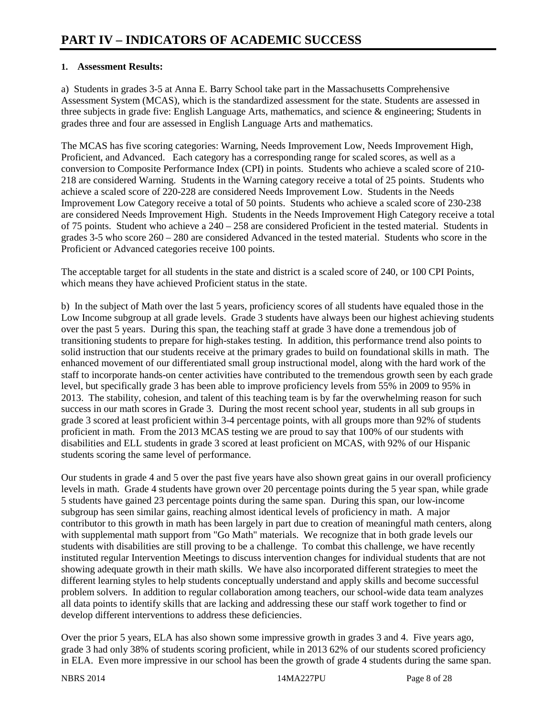### **1. Assessment Results:**

a) Students in grades 3-5 at Anna E. Barry School take part in the Massachusetts Comprehensive Assessment System (MCAS), which is the standardized assessment for the state. Students are assessed in three subjects in grade five: English Language Arts, mathematics, and science & engineering; Students in grades three and four are assessed in English Language Arts and mathematics.

The MCAS has five scoring categories: Warning, Needs Improvement Low, Needs Improvement High, Proficient, and Advanced. Each category has a corresponding range for scaled scores, as well as a conversion to Composite Performance Index (CPI) in points. Students who achieve a scaled score of 210- 218 are considered Warning. Students in the Warning category receive a total of 25 points. Students who achieve a scaled score of 220-228 are considered Needs Improvement Low. Students in the Needs Improvement Low Category receive a total of 50 points. Students who achieve a scaled score of 230-238 are considered Needs Improvement High. Students in the Needs Improvement High Category receive a total of 75 points. Student who achieve a 240 – 258 are considered Proficient in the tested material. Students in grades 3-5 who score 260 – 280 are considered Advanced in the tested material. Students who score in the Proficient or Advanced categories receive 100 points.

The acceptable target for all students in the state and district is a scaled score of 240, or 100 CPI Points, which means they have achieved Proficient status in the state.

b) In the subject of Math over the last 5 years, proficiency scores of all students have equaled those in the Low Income subgroup at all grade levels. Grade 3 students have always been our highest achieving students over the past 5 years. During this span, the teaching staff at grade 3 have done a tremendous job of transitioning students to prepare for high-stakes testing. In addition, this performance trend also points to solid instruction that our students receive at the primary grades to build on foundational skills in math. The enhanced movement of our differentiated small group instructional model, along with the hard work of the staff to incorporate hands-on center activities have contributed to the tremendous growth seen by each grade level, but specifically grade 3 has been able to improve proficiency levels from 55% in 2009 to 95% in 2013. The stability, cohesion, and talent of this teaching team is by far the overwhelming reason for such success in our math scores in Grade 3. During the most recent school year, students in all sub groups in grade 3 scored at least proficient within 3-4 percentage points, with all groups more than 92% of students proficient in math. From the 2013 MCAS testing we are proud to say that 100% of our students with disabilities and ELL students in grade 3 scored at least proficient on MCAS, with 92% of our Hispanic students scoring the same level of performance.

Our students in grade 4 and 5 over the past five years have also shown great gains in our overall proficiency levels in math. Grade 4 students have grown over 20 percentage points during the 5 year span, while grade 5 students have gained 23 percentage points during the same span. During this span, our low-income subgroup has seen similar gains, reaching almost identical levels of proficiency in math. A major contributor to this growth in math has been largely in part due to creation of meaningful math centers, along with supplemental math support from "Go Math" materials. We recognize that in both grade levels our students with disabilities are still proving to be a challenge. To combat this challenge, we have recently instituted regular Intervention Meetings to discuss intervention changes for individual students that are not showing adequate growth in their math skills. We have also incorporated different strategies to meet the different learning styles to help students conceptually understand and apply skills and become successful problem solvers. In addition to regular collaboration among teachers, our school-wide data team analyzes all data points to identify skills that are lacking and addressing these our staff work together to find or develop different interventions to address these deficiencies.

Over the prior 5 years, ELA has also shown some impressive growth in grades 3 and 4. Five years ago, grade 3 had only 38% of students scoring proficient, while in 2013 62% of our students scored proficiency in ELA. Even more impressive in our school has been the growth of grade 4 students during the same span.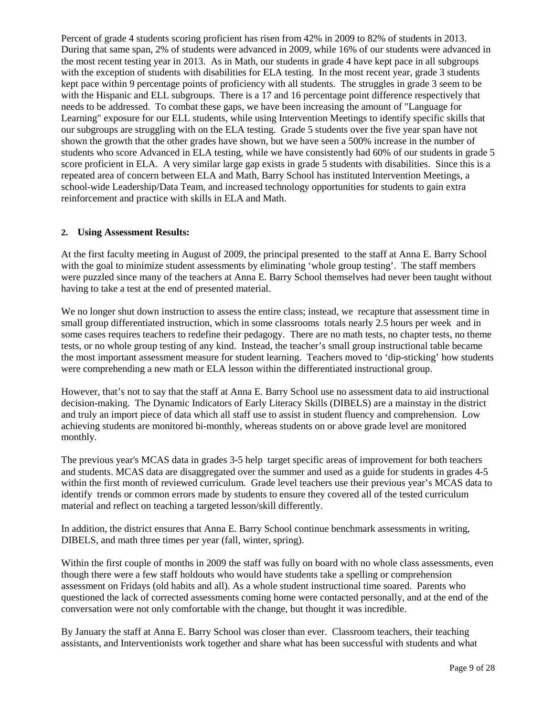Percent of grade 4 students scoring proficient has risen from 42% in 2009 to 82% of students in 2013. During that same span, 2% of students were advanced in 2009, while 16% of our students were advanced in the most recent testing year in 2013. As in Math, our students in grade 4 have kept pace in all subgroups with the exception of students with disabilities for ELA testing. In the most recent year, grade 3 students kept pace within 9 percentage points of proficiency with all students. The struggles in grade 3 seem to be with the Hispanic and ELL subgroups. There is a 17 and 16 percentage point difference respectively that needs to be addressed. To combat these gaps, we have been increasing the amount of "Language for Learning" exposure for our ELL students, while using Intervention Meetings to identify specific skills that our subgroups are struggling with on the ELA testing. Grade 5 students over the five year span have not shown the growth that the other grades have shown, but we have seen a 500% increase in the number of students who score Advanced in ELA testing, while we have consistently had 60% of our students in grade 5 score proficient in ELA. A very similar large gap exists in grade 5 students with disabilities. Since this is a repeated area of concern between ELA and Math, Barry School has instituted Intervention Meetings, a school-wide Leadership/Data Team, and increased technology opportunities for students to gain extra reinforcement and practice with skills in ELA and Math.

### **2. Using Assessment Results:**

At the first faculty meeting in August of 2009, the principal presented to the staff at Anna E. Barry School with the goal to minimize student assessments by eliminating 'whole group testing'. The staff members were puzzled since many of the teachers at Anna E. Barry School themselves had never been taught without having to take a test at the end of presented material.

We no longer shut down instruction to assess the entire class; instead, we recapture that assessment time in small group differentiated instruction, which in some classrooms totals nearly 2.5 hours per week and in some cases requires teachers to redefine their pedagogy. There are no math tests, no chapter tests, no theme tests, or no whole group testing of any kind. Instead, the teacher's small group instructional table became the most important assessment measure for student learning. Teachers moved to 'dip-sticking' how students were comprehending a new math or ELA lesson within the differentiated instructional group.

However, that's not to say that the staff at Anna E. Barry School use no assessment data to aid instructional decision-making. The Dynamic Indicators of Early Literacy Skills (DIBELS) are a mainstay in the district and truly an import piece of data which all staff use to assist in student fluency and comprehension. Low achieving students are monitored bi-monthly, whereas students on or above grade level are monitored monthly.

The previous year's MCAS data in grades 3-5 help target specific areas of improvement for both teachers and students. MCAS data are disaggregated over the summer and used as a guide for students in grades 4-5 within the first month of reviewed curriculum. Grade level teachers use their previous year's MCAS data to identify trends or common errors made by students to ensure they covered all of the tested curriculum material and reflect on teaching a targeted lesson/skill differently.

In addition, the district ensures that Anna E. Barry School continue benchmark assessments in writing, DIBELS, and math three times per year (fall, winter, spring).

Within the first couple of months in 2009 the staff was fully on board with no whole class assessments, even though there were a few staff holdouts who would have students take a spelling or comprehension assessment on Fridays (old habits and all). As a whole student instructional time soared. Parents who questioned the lack of corrected assessments coming home were contacted personally, and at the end of the conversation were not only comfortable with the change, but thought it was incredible.

By January the staff at Anna E. Barry School was closer than ever. Classroom teachers, their teaching assistants, and Interventionists work together and share what has been successful with students and what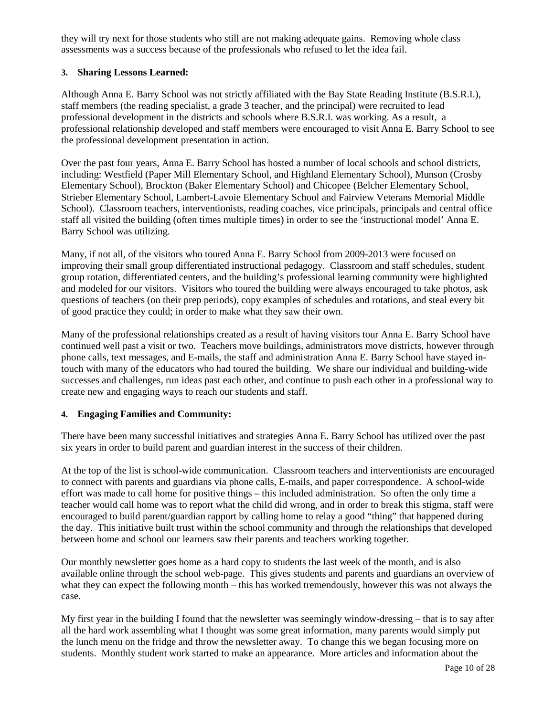they will try next for those students who still are not making adequate gains. Removing whole class assessments was a success because of the professionals who refused to let the idea fail.

### **3. Sharing Lessons Learned:**

Although Anna E. Barry School was not strictly affiliated with the Bay State Reading Institute (B.S.R.I.), staff members (the reading specialist, a grade 3 teacher, and the principal) were recruited to lead professional development in the districts and schools where B.S.R.I. was working. As a result, a professional relationship developed and staff members were encouraged to visit Anna E. Barry School to see the professional development presentation in action.

Over the past four years, Anna E. Barry School has hosted a number of local schools and school districts, including: Westfield (Paper Mill Elementary School, and Highland Elementary School), Munson (Crosby Elementary School), Brockton (Baker Elementary School) and Chicopee (Belcher Elementary School, Strieber Elementary School, Lambert-Lavoie Elementary School and Fairview Veterans Memorial Middle School). Classroom teachers, interventionists, reading coaches, vice principals, principals and central office staff all visited the building (often times multiple times) in order to see the 'instructional model' Anna E. Barry School was utilizing.

Many, if not all, of the visitors who toured Anna E. Barry School from 2009-2013 were focused on improving their small group differentiated instructional pedagogy. Classroom and staff schedules, student group rotation, differentiated centers, and the building's professional learning community were highlighted and modeled for our visitors. Visitors who toured the building were always encouraged to take photos, ask questions of teachers (on their prep periods), copy examples of schedules and rotations, and steal every bit of good practice they could; in order to make what they saw their own.

Many of the professional relationships created as a result of having visitors tour Anna E. Barry School have continued well past a visit or two. Teachers move buildings, administrators move districts, however through phone calls, text messages, and E-mails, the staff and administration Anna E. Barry School have stayed intouch with many of the educators who had toured the building. We share our individual and building-wide successes and challenges, run ideas past each other, and continue to push each other in a professional way to create new and engaging ways to reach our students and staff.

### **4. Engaging Families and Community:**

There have been many successful initiatives and strategies Anna E. Barry School has utilized over the past six years in order to build parent and guardian interest in the success of their children.

At the top of the list is school-wide communication. Classroom teachers and interventionists are encouraged to connect with parents and guardians via phone calls, E-mails, and paper correspondence. A school-wide effort was made to call home for positive things – this included administration. So often the only time a teacher would call home was to report what the child did wrong, and in order to break this stigma, staff were encouraged to build parent/guardian rapport by calling home to relay a good "thing" that happened during the day. This initiative built trust within the school community and through the relationships that developed between home and school our learners saw their parents and teachers working together.

Our monthly newsletter goes home as a hard copy to students the last week of the month, and is also available online through the school web-page. This gives students and parents and guardians an overview of what they can expect the following month – this has worked tremendously, however this was not always the case.

My first year in the building I found that the newsletter was seemingly window-dressing – that is to say after all the hard work assembling what I thought was some great information, many parents would simply put the lunch menu on the fridge and throw the newsletter away. To change this we began focusing more on students. Monthly student work started to make an appearance. More articles and information about the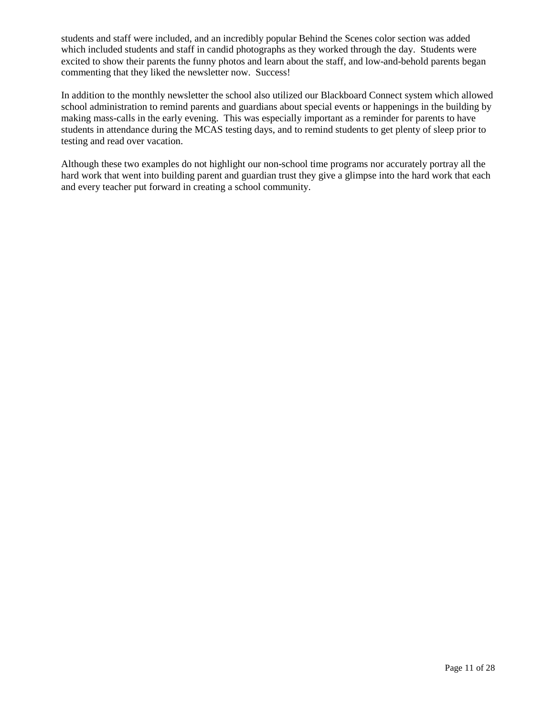students and staff were included, and an incredibly popular Behind the Scenes color section was added which included students and staff in candid photographs as they worked through the day. Students were excited to show their parents the funny photos and learn about the staff, and low-and-behold parents began commenting that they liked the newsletter now. Success!

In addition to the monthly newsletter the school also utilized our Blackboard Connect system which allowed school administration to remind parents and guardians about special events or happenings in the building by making mass-calls in the early evening. This was especially important as a reminder for parents to have students in attendance during the MCAS testing days, and to remind students to get plenty of sleep prior to testing and read over vacation.

Although these two examples do not highlight our non-school time programs nor accurately portray all the hard work that went into building parent and guardian trust they give a glimpse into the hard work that each and every teacher put forward in creating a school community.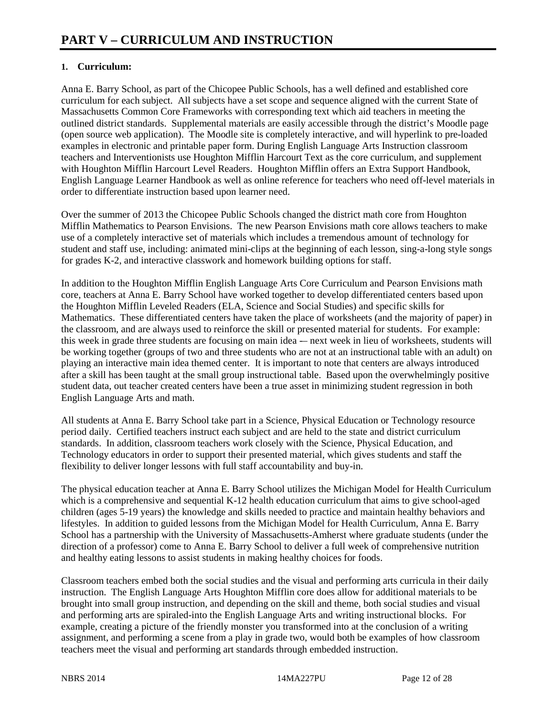### **1. Curriculum:**

Anna E. Barry School, as part of the Chicopee Public Schools, has a well defined and established core curriculum for each subject. All subjects have a set scope and sequence aligned with the current State of Massachusetts Common Core Frameworks with corresponding text which aid teachers in meeting the outlined district standards. Supplemental materials are easily accessible through the district's Moodle page (open source web application). The Moodle site is completely interactive, and will hyperlink to pre-loaded examples in electronic and printable paper form. During English Language Arts Instruction classroom teachers and Interventionists use Houghton Mifflin Harcourt Text as the core curriculum, and supplement with Houghton Mifflin Harcourt Level Readers. Houghton Mifflin offers an Extra Support Handbook, English Language Learner Handbook as well as online reference for teachers who need off-level materials in order to differentiate instruction based upon learner need.

Over the summer of 2013 the Chicopee Public Schools changed the district math core from Houghton Mifflin Mathematics to Pearson Envisions. The new Pearson Envisions math core allows teachers to make use of a completely interactive set of materials which includes a tremendous amount of technology for student and staff use, including: animated mini-clips at the beginning of each lesson, sing-a-long style songs for grades K-2, and interactive classwork and homework building options for staff.

In addition to the Houghton Mifflin English Language Arts Core Curriculum and Pearson Envisions math core, teachers at Anna E. Barry School have worked together to develop differentiated centers based upon the Houghton Mifflin Leveled Readers (ELA, Science and Social Studies) and specific skills for Mathematics. These differentiated centers have taken the place of worksheets (and the majority of paper) in the classroom, and are always used to reinforce the skill or presented material for students. For example: this week in grade three students are focusing on main idea -– next week in lieu of worksheets, students will be working together (groups of two and three students who are not at an instructional table with an adult) on playing an interactive main idea themed center. It is important to note that centers are always introduced after a skill has been taught at the small group instructional table. Based upon the overwhelmingly positive student data, out teacher created centers have been a true asset in minimizing student regression in both English Language Arts and math.

All students at Anna E. Barry School take part in a Science, Physical Education or Technology resource period daily. Certified teachers instruct each subject and are held to the state and district curriculum standards. In addition, classroom teachers work closely with the Science, Physical Education, and Technology educators in order to support their presented material, which gives students and staff the flexibility to deliver longer lessons with full staff accountability and buy-in.

The physical education teacher at Anna E. Barry School utilizes the Michigan Model for Health Curriculum which is a comprehensive and sequential K-12 health education curriculum that aims to give school-aged children (ages 5-19 years) the knowledge and skills needed to practice and maintain healthy behaviors and lifestyles. In addition to guided lessons from the Michigan Model for Health Curriculum, Anna E. Barry School has a partnership with the University of Massachusetts-Amherst where graduate students (under the direction of a professor) come to Anna E. Barry School to deliver a full week of comprehensive nutrition and healthy eating lessons to assist students in making healthy choices for foods.

Classroom teachers embed both the social studies and the visual and performing arts curricula in their daily instruction. The English Language Arts Houghton Mifflin core does allow for additional materials to be brought into small group instruction, and depending on the skill and theme, both social studies and visual and performing arts are spiraled-into the English Language Arts and writing instructional blocks. For example, creating a picture of the friendly monster you transformed into at the conclusion of a writing assignment, and performing a scene from a play in grade two, would both be examples of how classroom teachers meet the visual and performing art standards through embedded instruction.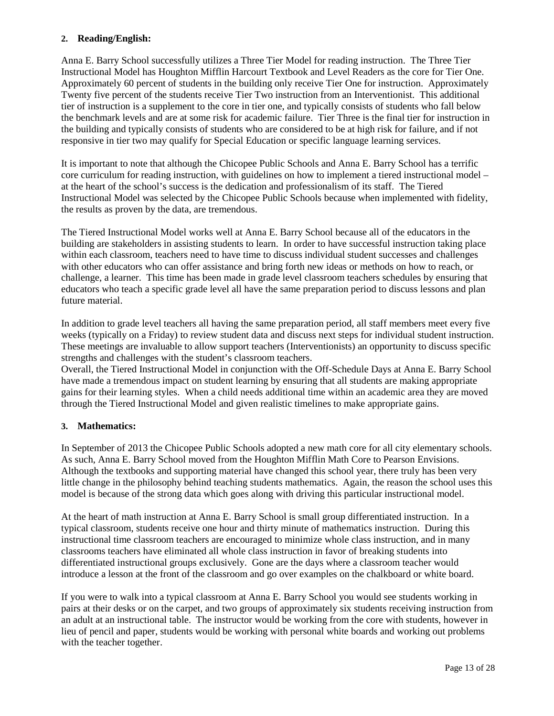### **2. Reading/English:**

Anna E. Barry School successfully utilizes a Three Tier Model for reading instruction. The Three Tier Instructional Model has Houghton Mifflin Harcourt Textbook and Level Readers as the core for Tier One. Approximately 60 percent of students in the building only receive Tier One for instruction. Approximately Twenty five percent of the students receive Tier Two instruction from an Interventionist. This additional tier of instruction is a supplement to the core in tier one, and typically consists of students who fall below the benchmark levels and are at some risk for academic failure. Tier Three is the final tier for instruction in the building and typically consists of students who are considered to be at high risk for failure, and if not responsive in tier two may qualify for Special Education or specific language learning services.

It is important to note that although the Chicopee Public Schools and Anna E. Barry School has a terrific core curriculum for reading instruction, with guidelines on how to implement a tiered instructional model – at the heart of the school's success is the dedication and professionalism of its staff. The Tiered Instructional Model was selected by the Chicopee Public Schools because when implemented with fidelity, the results as proven by the data, are tremendous.

The Tiered Instructional Model works well at Anna E. Barry School because all of the educators in the building are stakeholders in assisting students to learn. In order to have successful instruction taking place within each classroom, teachers need to have time to discuss individual student successes and challenges with other educators who can offer assistance and bring forth new ideas or methods on how to reach, or challenge, a learner. This time has been made in grade level classroom teachers schedules by ensuring that educators who teach a specific grade level all have the same preparation period to discuss lessons and plan future material.

In addition to grade level teachers all having the same preparation period, all staff members meet every five weeks (typically on a Friday) to review student data and discuss next steps for individual student instruction. These meetings are invaluable to allow support teachers (Interventionists) an opportunity to discuss specific strengths and challenges with the student's classroom teachers.

Overall, the Tiered Instructional Model in conjunction with the Off-Schedule Days at Anna E. Barry School have made a tremendous impact on student learning by ensuring that all students are making appropriate gains for their learning styles. When a child needs additional time within an academic area they are moved through the Tiered Instructional Model and given realistic timelines to make appropriate gains.

### **3. Mathematics:**

In September of 2013 the Chicopee Public Schools adopted a new math core for all city elementary schools. As such, Anna E. Barry School moved from the Houghton Mifflin Math Core to Pearson Envisions. Although the textbooks and supporting material have changed this school year, there truly has been very little change in the philosophy behind teaching students mathematics. Again, the reason the school uses this model is because of the strong data which goes along with driving this particular instructional model.

At the heart of math instruction at Anna E. Barry School is small group differentiated instruction. In a typical classroom, students receive one hour and thirty minute of mathematics instruction. During this instructional time classroom teachers are encouraged to minimize whole class instruction, and in many classrooms teachers have eliminated all whole class instruction in favor of breaking students into differentiated instructional groups exclusively. Gone are the days where a classroom teacher would introduce a lesson at the front of the classroom and go over examples on the chalkboard or white board.

If you were to walk into a typical classroom at Anna E. Barry School you would see students working in pairs at their desks or on the carpet, and two groups of approximately six students receiving instruction from an adult at an instructional table. The instructor would be working from the core with students, however in lieu of pencil and paper, students would be working with personal white boards and working out problems with the teacher together.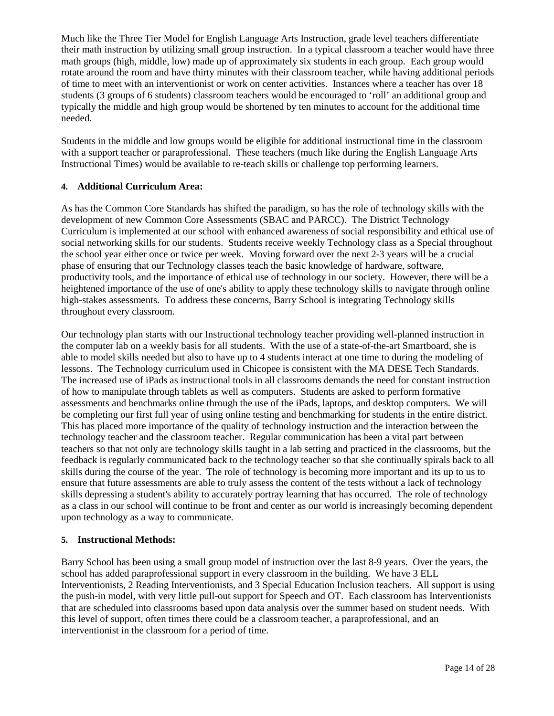Much like the Three Tier Model for English Language Arts Instruction, grade level teachers differentiate their math instruction by utilizing small group instruction. In a typical classroom a teacher would have three math groups (high, middle, low) made up of approximately six students in each group. Each group would rotate around the room and have thirty minutes with their classroom teacher, while having additional periods of time to meet with an interventionist or work on center activities. Instances where a teacher has over 18 students (3 groups of 6 students) classroom teachers would be encouraged to 'roll' an additional group and typically the middle and high group would be shortened by ten minutes to account for the additional time needed.

Students in the middle and low groups would be eligible for additional instructional time in the classroom with a support teacher or paraprofessional. These teachers (much like during the English Language Arts Instructional Times) would be available to re-teach skills or challenge top performing learners.

### **4. Additional Curriculum Area:**

As has the Common Core Standards has shifted the paradigm, so has the role of technology skills with the development of new Common Core Assessments (SBAC and PARCC). The District Technology Curriculum is implemented at our school with enhanced awareness of social responsibility and ethical use of social networking skills for our students. Students receive weekly Technology class as a Special throughout the school year either once or twice per week. Moving forward over the next 2-3 years will be a crucial phase of ensuring that our Technology classes teach the basic knowledge of hardware, software, productivity tools, and the importance of ethical use of technology in our society. However, there will be a heightened importance of the use of one's ability to apply these technology skills to navigate through online high-stakes assessments. To address these concerns, Barry School is integrating Technology skills throughout every classroom.

Our technology plan starts with our Instructional technology teacher providing well-planned instruction in the computer lab on a weekly basis for all students. With the use of a state-of-the-art Smartboard, she is able to model skills needed but also to have up to 4 students interact at one time to during the modeling of lessons. The Technology curriculum used in Chicopee is consistent with the MA DESE Tech Standards. The increased use of iPads as instructional tools in all classrooms demands the need for constant instruction of how to manipulate through tablets as well as computers. Students are asked to perform formative assessments and benchmarks online through the use of the iPads, laptops, and desktop computers. We will be completing our first full year of using online testing and benchmarking for students in the entire district. This has placed more importance of the quality of technology instruction and the interaction between the technology teacher and the classroom teacher. Regular communication has been a vital part between teachers so that not only are technology skills taught in a lab setting and practiced in the classrooms, but the feedback is regularly communicated back to the technology teacher so that she continually spirals back to all skills during the course of the year. The role of technology is becoming more important and its up to us to ensure that future assessments are able to truly assess the content of the tests without a lack of technology skills depressing a student's ability to accurately portray learning that has occurred. The role of technology as a class in our school will continue to be front and center as our world is increasingly becoming dependent upon technology as a way to communicate.

### **5. Instructional Methods:**

Barry School has been using a small group model of instruction over the last 8-9 years. Over the years, the school has added paraprofessional support in every classroom in the building. We have 3 ELL Interventionists, 2 Reading Interventionists, and 3 Special Education Inclusion teachers. All support is using the push-in model, with very little pull-out support for Speech and OT. Each classroom has Interventionists that are scheduled into classrooms based upon data analysis over the summer based on student needs. With this level of support, often times there could be a classroom teacher, a paraprofessional, and an interventionist in the classroom for a period of time.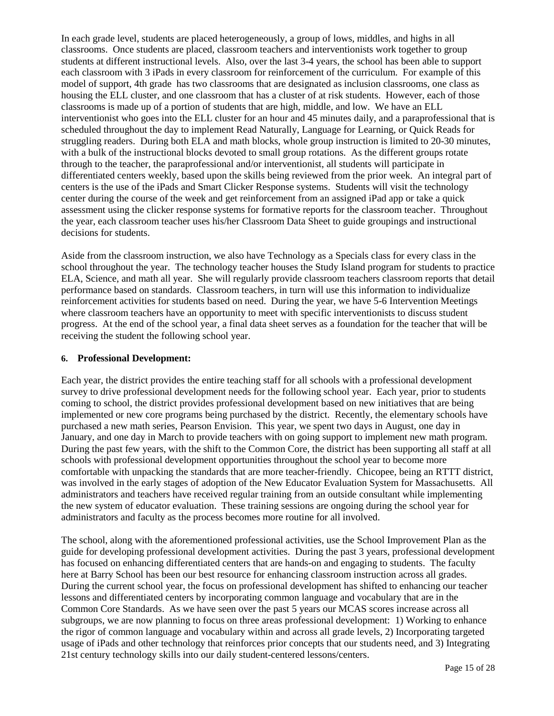In each grade level, students are placed heterogeneously, a group of lows, middles, and highs in all classrooms. Once students are placed, classroom teachers and interventionists work together to group students at different instructional levels. Also, over the last 3-4 years, the school has been able to support each classroom with 3 iPads in every classroom for reinforcement of the curriculum. For example of this model of support, 4th grade has two classrooms that are designated as inclusion classrooms, one class as housing the ELL cluster, and one classroom that has a cluster of at risk students. However, each of those classrooms is made up of a portion of students that are high, middle, and low. We have an ELL interventionist who goes into the ELL cluster for an hour and 45 minutes daily, and a paraprofessional that is scheduled throughout the day to implement Read Naturally, Language for Learning, or Quick Reads for struggling readers. During both ELA and math blocks, whole group instruction is limited to 20-30 minutes, with a bulk of the instructional blocks devoted to small group rotations. As the different groups rotate through to the teacher, the paraprofessional and/or interventionist, all students will participate in differentiated centers weekly, based upon the skills being reviewed from the prior week. An integral part of centers is the use of the iPads and Smart Clicker Response systems. Students will visit the technology center during the course of the week and get reinforcement from an assigned iPad app or take a quick assessment using the clicker response systems for formative reports for the classroom teacher. Throughout the year, each classroom teacher uses his/her Classroom Data Sheet to guide groupings and instructional decisions for students.

Aside from the classroom instruction, we also have Technology as a Specials class for every class in the school throughout the year. The technology teacher houses the Study Island program for students to practice ELA, Science, and math all year. She will regularly provide classroom teachers classroom reports that detail performance based on standards. Classroom teachers, in turn will use this information to individualize reinforcement activities for students based on need. During the year, we have 5-6 Intervention Meetings where classroom teachers have an opportunity to meet with specific interventionists to discuss student progress. At the end of the school year, a final data sheet serves as a foundation for the teacher that will be receiving the student the following school year.

### **6. Professional Development:**

Each year, the district provides the entire teaching staff for all schools with a professional development survey to drive professional development needs for the following school year. Each year, prior to students coming to school, the district provides professional development based on new initiatives that are being implemented or new core programs being purchased by the district. Recently, the elementary schools have purchased a new math series, Pearson Envision. This year, we spent two days in August, one day in January, and one day in March to provide teachers with on going support to implement new math program. During the past few years, with the shift to the Common Core, the district has been supporting all staff at all schools with professional development opportunities throughout the school year to become more comfortable with unpacking the standards that are more teacher-friendly. Chicopee, being an RTTT district, was involved in the early stages of adoption of the New Educator Evaluation System for Massachusetts. All administrators and teachers have received regular training from an outside consultant while implementing the new system of educator evaluation. These training sessions are ongoing during the school year for administrators and faculty as the process becomes more routine for all involved.

The school, along with the aforementioned professional activities, use the School Improvement Plan as the guide for developing professional development activities. During the past 3 years, professional development has focused on enhancing differentiated centers that are hands-on and engaging to students. The faculty here at Barry School has been our best resource for enhancing classroom instruction across all grades. During the current school year, the focus on professional development has shifted to enhancing our teacher lessons and differentiated centers by incorporating common language and vocabulary that are in the Common Core Standards. As we have seen over the past 5 years our MCAS scores increase across all subgroups, we are now planning to focus on three areas professional development: 1) Working to enhance the rigor of common language and vocabulary within and across all grade levels, 2) Incorporating targeted usage of iPads and other technology that reinforces prior concepts that our students need, and 3) Integrating 21st century technology skills into our daily student-centered lessons/centers.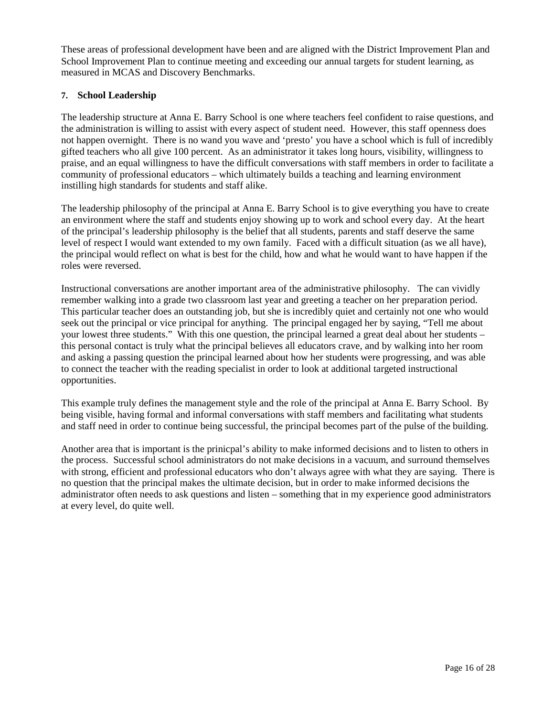These areas of professional development have been and are aligned with the District Improvement Plan and School Improvement Plan to continue meeting and exceeding our annual targets for student learning, as measured in MCAS and Discovery Benchmarks.

### **7. School Leadership**

The leadership structure at Anna E. Barry School is one where teachers feel confident to raise questions, and the administration is willing to assist with every aspect of student need. However, this staff openness does not happen overnight. There is no wand you wave and 'presto' you have a school which is full of incredibly gifted teachers who all give 100 percent. As an administrator it takes long hours, visibility, willingness to praise, and an equal willingness to have the difficult conversations with staff members in order to facilitate a community of professional educators – which ultimately builds a teaching and learning environment instilling high standards for students and staff alike.

The leadership philosophy of the principal at Anna E. Barry School is to give everything you have to create an environment where the staff and students enjoy showing up to work and school every day. At the heart of the principal's leadership philosophy is the belief that all students, parents and staff deserve the same level of respect I would want extended to my own family. Faced with a difficult situation (as we all have), the principal would reflect on what is best for the child, how and what he would want to have happen if the roles were reversed.

Instructional conversations are another important area of the administrative philosophy. The can vividly remember walking into a grade two classroom last year and greeting a teacher on her preparation period. This particular teacher does an outstanding job, but she is incredibly quiet and certainly not one who would seek out the principal or vice principal for anything. The principal engaged her by saying, "Tell me about your lowest three students." With this one question, the principal learned a great deal about her students – this personal contact is truly what the principal believes all educators crave, and by walking into her room and asking a passing question the principal learned about how her students were progressing, and was able to connect the teacher with the reading specialist in order to look at additional targeted instructional opportunities.

This example truly defines the management style and the role of the principal at Anna E. Barry School. By being visible, having formal and informal conversations with staff members and facilitating what students and staff need in order to continue being successful, the principal becomes part of the pulse of the building.

Another area that is important is the prinicpal's ability to make informed decisions and to listen to others in the process. Successful school administrators do not make decisions in a vacuum, and surround themselves with strong, efficient and professional educators who don't always agree with what they are saying. There is no question that the principal makes the ultimate decision, but in order to make informed decisions the administrator often needs to ask questions and listen – something that in my experience good administrators at every level, do quite well.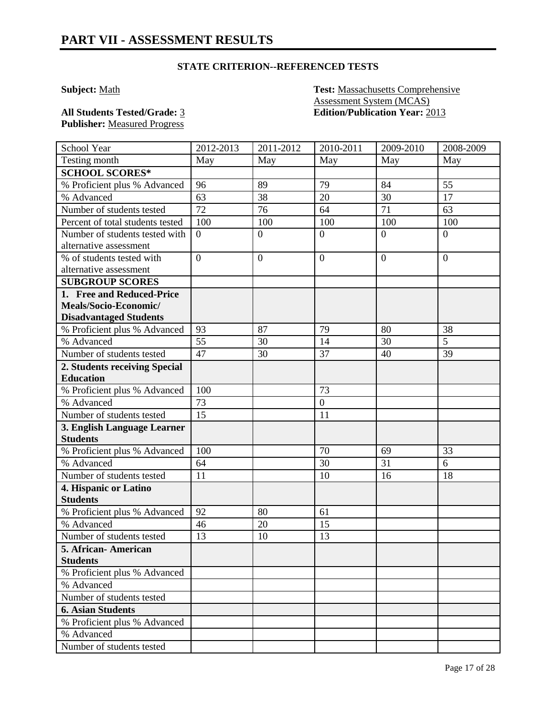**Subject:** Math **Test:** Massachusetts Comprehensive Assessment System (MCAS) **All Students Tested/Grade:** 3 **Edition/Publication Year:** 2013

**Publisher:** Measured Progress

| School Year                      | 2012-2013      | 2011-2012      | 2010-2011        | 2009-2010      | 2008-2009      |
|----------------------------------|----------------|----------------|------------------|----------------|----------------|
| Testing month                    | May            | May            | May              | May            | May            |
| <b>SCHOOL SCORES*</b>            |                |                |                  |                |                |
| % Proficient plus % Advanced     | 96             | 89             | 79               | 84             | 55             |
| % Advanced                       | 63             | 38             | 20               | 30             | 17             |
| Number of students tested        | 72             | 76             | 64               | 71             | 63             |
| Percent of total students tested | 100            | 100            | 100              | 100            | 100            |
| Number of students tested with   | $\overline{0}$ | $\overline{0}$ | $\overline{0}$   | $\overline{0}$ | $\theta$       |
| alternative assessment           |                |                |                  |                |                |
| % of students tested with        | $\overline{0}$ | $\overline{0}$ | $\mathbf{0}$     | $\overline{0}$ | $\overline{0}$ |
| alternative assessment           |                |                |                  |                |                |
| <b>SUBGROUP SCORES</b>           |                |                |                  |                |                |
| 1. Free and Reduced-Price        |                |                |                  |                |                |
| Meals/Socio-Economic/            |                |                |                  |                |                |
| <b>Disadvantaged Students</b>    |                |                |                  |                |                |
| % Proficient plus % Advanced     | 93             | 87             | 79               | 80             | 38             |
| % Advanced                       | 55             | 30             | 14               | 30             | 5              |
| Number of students tested        | 47             | 30             | 37               | 40             | 39             |
| 2. Students receiving Special    |                |                |                  |                |                |
| <b>Education</b>                 |                |                |                  |                |                |
| % Proficient plus % Advanced     | 100            |                | 73               |                |                |
| % Advanced                       | 73             |                | $\boldsymbol{0}$ |                |                |
| Number of students tested        | 15             |                | 11               |                |                |
| 3. English Language Learner      |                |                |                  |                |                |
| <b>Students</b>                  |                |                |                  |                |                |
| % Proficient plus % Advanced     | 100            |                | 70               | 69             | 33             |
| % Advanced                       | 64             |                | 30               | 31             | 6              |
| Number of students tested        | 11             |                | 10               | 16             | 18             |
| 4. Hispanic or Latino            |                |                |                  |                |                |
| <b>Students</b>                  |                |                |                  |                |                |
| % Proficient plus % Advanced     | 92             | 80             | 61               |                |                |
| % Advanced                       | 46             | 20             | 15               |                |                |
| Number of students tested        | 13             | 10             | 13               |                |                |
| 5. African-American              |                |                |                  |                |                |
| <b>Students</b>                  |                |                |                  |                |                |
| % Proficient plus % Advanced     |                |                |                  |                |                |
| % Advanced                       |                |                |                  |                |                |
| Number of students tested        |                |                |                  |                |                |
| <b>6. Asian Students</b>         |                |                |                  |                |                |
| % Proficient plus % Advanced     |                |                |                  |                |                |
| % Advanced                       |                |                |                  |                |                |
| Number of students tested        |                |                |                  |                |                |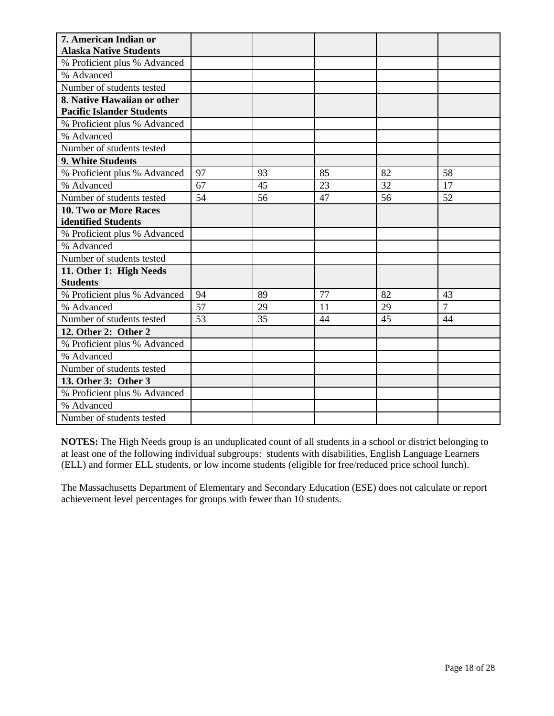| 7. American Indian or            |    |    |    |    |                |
|----------------------------------|----|----|----|----|----------------|
| <b>Alaska Native Students</b>    |    |    |    |    |                |
| % Proficient plus % Advanced     |    |    |    |    |                |
| % Advanced                       |    |    |    |    |                |
| Number of students tested        |    |    |    |    |                |
| 8. Native Hawaiian or other      |    |    |    |    |                |
| <b>Pacific Islander Students</b> |    |    |    |    |                |
| % Proficient plus % Advanced     |    |    |    |    |                |
| % Advanced                       |    |    |    |    |                |
| Number of students tested        |    |    |    |    |                |
| 9. White Students                |    |    |    |    |                |
| % Proficient plus % Advanced     | 97 | 93 | 85 | 82 | 58             |
| % Advanced                       | 67 | 45 | 23 | 32 | 17             |
| Number of students tested        | 54 | 56 | 47 | 56 | 52             |
| <b>10. Two or More Races</b>     |    |    |    |    |                |
| identified Students              |    |    |    |    |                |
| % Proficient plus % Advanced     |    |    |    |    |                |
| % Advanced                       |    |    |    |    |                |
| Number of students tested        |    |    |    |    |                |
| 11. Other 1: High Needs          |    |    |    |    |                |
| <b>Students</b>                  |    |    |    |    |                |
| % Proficient plus % Advanced     | 94 | 89 | 77 | 82 | 43             |
| % Advanced                       | 57 | 29 | 11 | 29 | $\overline{7}$ |
| Number of students tested        | 53 | 35 | 44 | 45 | 44             |
| 12. Other 2: Other 2             |    |    |    |    |                |
| % Proficient plus % Advanced     |    |    |    |    |                |
| % Advanced                       |    |    |    |    |                |
| Number of students tested        |    |    |    |    |                |
| 13. Other 3: Other 3             |    |    |    |    |                |
| % Proficient plus % Advanced     |    |    |    |    |                |
| % Advanced                       |    |    |    |    |                |
| Number of students tested        |    |    |    |    |                |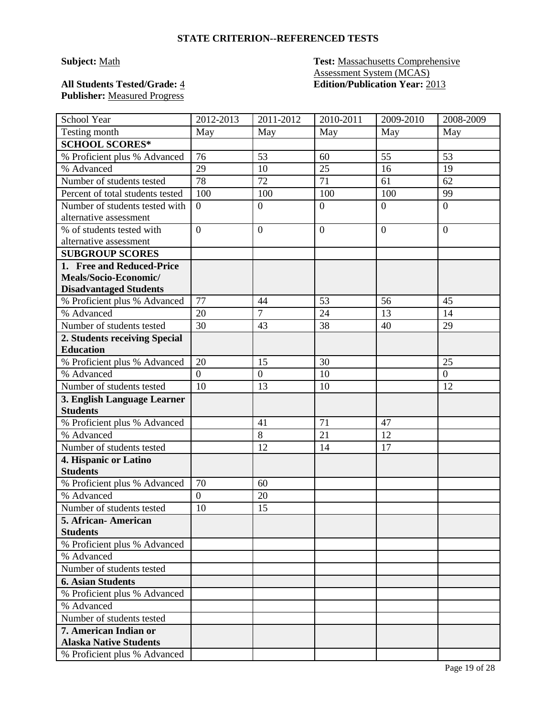# **Publisher:** Measured Progress

### **Subject:** Math **Test:** Massachusetts Comprehensive Assessment System (MCAS) **All Students Tested/Grade:** 4 **Edition/Publication Year:** 2013

| School Year                                              | 2012-2013      | 2011-2012        | 2010-2011        | 2009-2010      | 2008-2009      |
|----------------------------------------------------------|----------------|------------------|------------------|----------------|----------------|
| Testing month                                            | May            | May              | May              | May            | May            |
| <b>SCHOOL SCORES*</b>                                    |                |                  |                  |                |                |
| % Proficient plus % Advanced                             | 76             | 53               | 60               | 55             | 53             |
| % Advanced                                               | 29             | 10               | 25               | 16             | 19             |
| Number of students tested                                | 78             | 72               | 71               | 61             | 62             |
| Percent of total students tested                         | 100            | 100              | 100              | 100            | 99             |
| Number of students tested with<br>alternative assessment | $\theta$       | $\boldsymbol{0}$ | $\boldsymbol{0}$ | $\overline{0}$ | $\overline{0}$ |
| % of students tested with<br>alternative assessment      | $\overline{0}$ | $\overline{0}$   | $\overline{0}$   | $\overline{0}$ | $\overline{0}$ |
| <b>SUBGROUP SCORES</b>                                   |                |                  |                  |                |                |
| 1. Free and Reduced-Price                                |                |                  |                  |                |                |
| Meals/Socio-Economic/                                    |                |                  |                  |                |                |
| <b>Disadvantaged Students</b>                            |                |                  |                  |                |                |
| % Proficient plus % Advanced                             | 77             | 44               | 53               | 56             | 45             |
| % Advanced                                               | 20             | $\overline{7}$   | 24               | 13             | 14             |
| Number of students tested                                | 30             | 43               | 38               | 40             | 29             |
| 2. Students receiving Special                            |                |                  |                  |                |                |
| <b>Education</b>                                         |                |                  |                  |                |                |
| % Proficient plus % Advanced                             | 20             | 15               | 30               |                | 25             |
| % Advanced                                               | $\overline{0}$ | $\boldsymbol{0}$ | 10               |                | $\overline{0}$ |
| Number of students tested                                | 10             | 13               | 10               |                | 12             |
| 3. English Language Learner<br><b>Students</b>           |                |                  |                  |                |                |
| % Proficient plus % Advanced                             |                | 41               | 71               | 47             |                |
| % Advanced                                               |                | 8                | 21               | 12             |                |
| Number of students tested                                |                | 12               | 14               | 17             |                |
| 4. Hispanic or Latino                                    |                |                  |                  |                |                |
| <b>Students</b>                                          |                |                  |                  |                |                |
| % Proficient plus % Advanced                             | 70             | 60               |                  |                |                |
| % Advanced                                               | $\overline{0}$ | 20               |                  |                |                |
| Number of students tested                                | 10             | 15               |                  |                |                |
| 5. African- American                                     |                |                  |                  |                |                |
| <b>Students</b>                                          |                |                  |                  |                |                |
| % Proficient plus % Advanced                             |                |                  |                  |                |                |
| % Advanced                                               |                |                  |                  |                |                |
| Number of students tested                                |                |                  |                  |                |                |
| <b>6. Asian Students</b>                                 |                |                  |                  |                |                |
| % Proficient plus % Advanced                             |                |                  |                  |                |                |
| % Advanced                                               |                |                  |                  |                |                |
| Number of students tested                                |                |                  |                  |                |                |
| 7. American Indian or<br><b>Alaska Native Students</b>   |                |                  |                  |                |                |
| % Proficient plus % Advanced                             |                |                  |                  |                |                |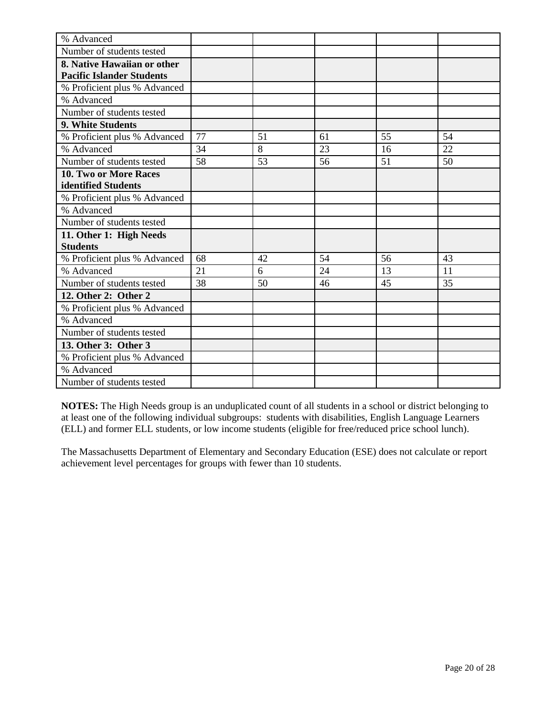| % Advanced                       |    |    |    |    |    |
|----------------------------------|----|----|----|----|----|
| Number of students tested        |    |    |    |    |    |
| 8. Native Hawaiian or other      |    |    |    |    |    |
| <b>Pacific Islander Students</b> |    |    |    |    |    |
| % Proficient plus % Advanced     |    |    |    |    |    |
| % Advanced                       |    |    |    |    |    |
| Number of students tested        |    |    |    |    |    |
| 9. White Students                |    |    |    |    |    |
| % Proficient plus % Advanced     | 77 | 51 | 61 | 55 | 54 |
| % Advanced                       | 34 | 8  | 23 | 16 | 22 |
| Number of students tested        | 58 | 53 | 56 | 51 | 50 |
| 10. Two or More Races            |    |    |    |    |    |
| identified Students              |    |    |    |    |    |
| % Proficient plus % Advanced     |    |    |    |    |    |
| % Advanced                       |    |    |    |    |    |
| Number of students tested        |    |    |    |    |    |
| 11. Other 1: High Needs          |    |    |    |    |    |
| <b>Students</b>                  |    |    |    |    |    |
| % Proficient plus % Advanced     | 68 | 42 | 54 | 56 | 43 |
| % Advanced                       | 21 | 6  | 24 | 13 | 11 |
| Number of students tested        | 38 | 50 | 46 | 45 | 35 |
| 12. Other 2: Other 2             |    |    |    |    |    |
| % Proficient plus % Advanced     |    |    |    |    |    |
| % Advanced                       |    |    |    |    |    |
| Number of students tested        |    |    |    |    |    |
| 13. Other 3: Other 3             |    |    |    |    |    |
| % Proficient plus % Advanced     |    |    |    |    |    |
| % Advanced                       |    |    |    |    |    |
| Number of students tested        |    |    |    |    |    |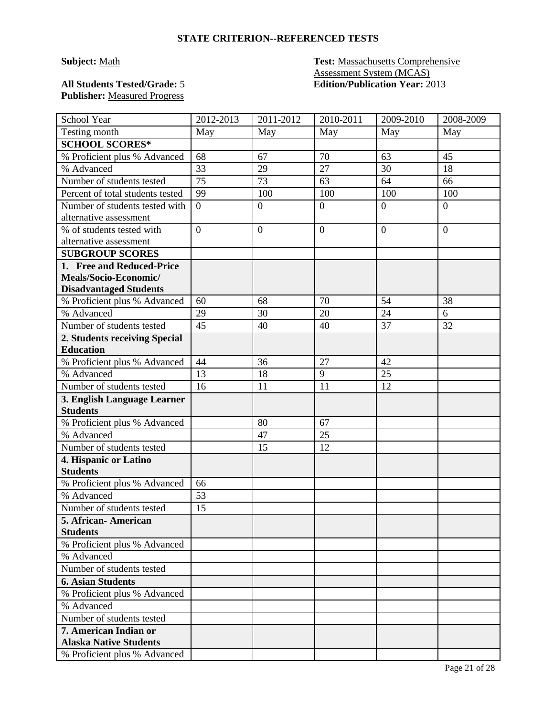### **Subject:** Math **Test:** Massachusetts Comprehensive Assessment System (MCAS) **All Students Tested/Grade:** 5 **Edition/Publication Year:** 2013

# **Publisher:** Measured Progress

| School Year                      | 2012-2013        | 2011-2012      | 2010-2011        | 2009-2010      | 2008-2009      |
|----------------------------------|------------------|----------------|------------------|----------------|----------------|
| Testing month                    | May              | May            | May              | May            | May            |
| <b>SCHOOL SCORES*</b>            |                  |                |                  |                |                |
| % Proficient plus % Advanced     | 68               | 67             | 70               | 63             | 45             |
| % Advanced                       | 33               | 29             | $\overline{27}$  | 30             | 18             |
| Number of students tested        | 75               | 73             | 63               | 64             | 66             |
| Percent of total students tested | 99               | 100            | 100              | 100            | 100            |
| Number of students tested with   | $\overline{0}$   | $\overline{0}$ | $\overline{0}$   | $\overline{0}$ | $\overline{0}$ |
| alternative assessment           |                  |                |                  |                |                |
| % of students tested with        | $\boldsymbol{0}$ | $\mathbf{0}$   | $\boldsymbol{0}$ | $\overline{0}$ | $\overline{0}$ |
| alternative assessment           |                  |                |                  |                |                |
| <b>SUBGROUP SCORES</b>           |                  |                |                  |                |                |
| 1. Free and Reduced-Price        |                  |                |                  |                |                |
| Meals/Socio-Economic/            |                  |                |                  |                |                |
| <b>Disadvantaged Students</b>    |                  |                |                  |                |                |
| % Proficient plus % Advanced     | 60               | 68             | 70               | 54             | 38             |
| % Advanced                       | 29               | 30             | 20               | 24             | 6              |
| Number of students tested        | 45               | 40             | 40               | 37             | 32             |
| 2. Students receiving Special    |                  |                |                  |                |                |
| <b>Education</b>                 |                  |                |                  |                |                |
| % Proficient plus % Advanced     | 44               | 36             | 27               | 42             |                |
| % Advanced                       | 13               | 18             | 9                | 25             |                |
| Number of students tested        | 16               | 11             | 11               | 12             |                |
| 3. English Language Learner      |                  |                |                  |                |                |
| <b>Students</b>                  |                  |                |                  |                |                |
| % Proficient plus % Advanced     |                  | 80             | 67               |                |                |
| % Advanced                       |                  | 47             | 25               |                |                |
| Number of students tested        |                  | 15             | 12               |                |                |
| 4. Hispanic or Latino            |                  |                |                  |                |                |
| <b>Students</b>                  |                  |                |                  |                |                |
| % Proficient plus % Advanced     | 66               |                |                  |                |                |
| % Advanced                       | 53               |                |                  |                |                |
| Number of students tested        | 15               |                |                  |                |                |
| 5. African-American              |                  |                |                  |                |                |
| <b>Students</b>                  |                  |                |                  |                |                |
| % Proficient plus % Advanced     |                  |                |                  |                |                |
| % Advanced                       |                  |                |                  |                |                |
| Number of students tested        |                  |                |                  |                |                |
| <b>6. Asian Students</b>         |                  |                |                  |                |                |
| % Proficient plus % Advanced     |                  |                |                  |                |                |
| % Advanced                       |                  |                |                  |                |                |
| Number of students tested        |                  |                |                  |                |                |
| 7. American Indian or            |                  |                |                  |                |                |
| <b>Alaska Native Students</b>    |                  |                |                  |                |                |
| % Proficient plus % Advanced     |                  |                |                  |                |                |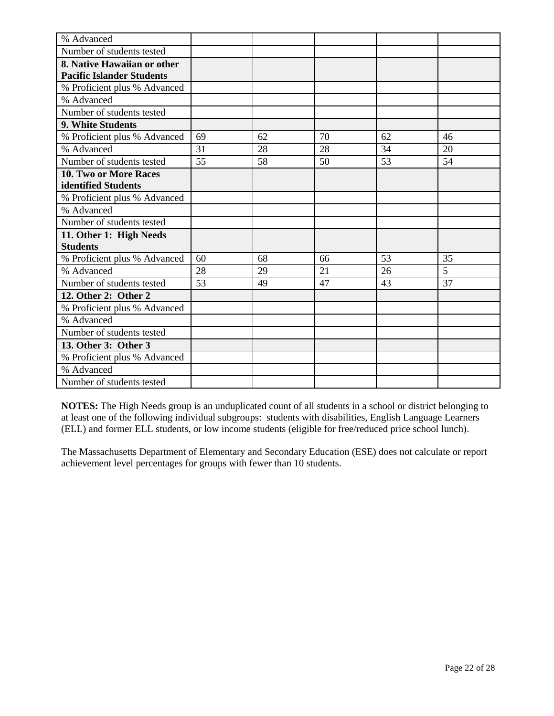| % Advanced                       |    |    |    |    |    |
|----------------------------------|----|----|----|----|----|
| Number of students tested        |    |    |    |    |    |
| 8. Native Hawaiian or other      |    |    |    |    |    |
| <b>Pacific Islander Students</b> |    |    |    |    |    |
| % Proficient plus % Advanced     |    |    |    |    |    |
| % Advanced                       |    |    |    |    |    |
| Number of students tested        |    |    |    |    |    |
| 9. White Students                |    |    |    |    |    |
| % Proficient plus % Advanced     | 69 | 62 | 70 | 62 | 46 |
| % Advanced                       | 31 | 28 | 28 | 34 | 20 |
| Number of students tested        | 55 | 58 | 50 | 53 | 54 |
| 10. Two or More Races            |    |    |    |    |    |
| identified Students              |    |    |    |    |    |
| % Proficient plus % Advanced     |    |    |    |    |    |
| % Advanced                       |    |    |    |    |    |
| Number of students tested        |    |    |    |    |    |
| 11. Other 1: High Needs          |    |    |    |    |    |
| <b>Students</b>                  |    |    |    |    |    |
| % Proficient plus % Advanced     | 60 | 68 | 66 | 53 | 35 |
| % Advanced                       | 28 | 29 | 21 | 26 | 5  |
| Number of students tested        | 53 | 49 | 47 | 43 | 37 |
| 12. Other 2: Other 2             |    |    |    |    |    |
| % Proficient plus % Advanced     |    |    |    |    |    |
| % Advanced                       |    |    |    |    |    |
| Number of students tested        |    |    |    |    |    |
| 13. Other 3: Other 3             |    |    |    |    |    |
| % Proficient plus % Advanced     |    |    |    |    |    |
| % Advanced                       |    |    |    |    |    |
| Number of students tested        |    |    |    |    |    |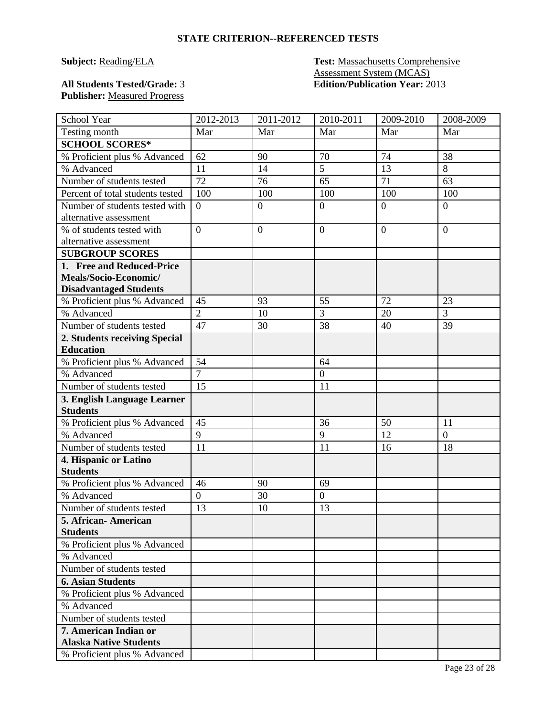**Subject: Reading/ELA Test: Massachusetts Comprehensive** Assessment System (MCAS) **All Students Tested/Grade:** 3 **Edition/Publication Year:** 2013

## **Publisher:** Measured Progress

| School Year                                    | 2012-2013      | 2011-2012        | 2010-2011        | 2009-2010      | 2008-2009      |
|------------------------------------------------|----------------|------------------|------------------|----------------|----------------|
| Testing month                                  | Mar            | Mar              | Mar              | Mar            | Mar            |
| <b>SCHOOL SCORES*</b>                          |                |                  |                  |                |                |
| % Proficient plus % Advanced                   | 62             | 90               | 70               | 74             | 38             |
| % Advanced                                     | 11             | 14               | $\overline{5}$   | 13             | 8              |
| Number of students tested                      | 72             | 76               | 65               | 71             | 63             |
| Percent of total students tested               | 100            | 100              | 100              | 100            | 100            |
| Number of students tested with                 | $\overline{0}$ | $\boldsymbol{0}$ | $\overline{0}$   | $\theta$       | $\overline{0}$ |
| alternative assessment                         |                |                  |                  |                |                |
| % of students tested with                      | $\overline{0}$ | $\boldsymbol{0}$ | $\overline{0}$   | $\overline{0}$ | $\overline{0}$ |
| alternative assessment                         |                |                  |                  |                |                |
| <b>SUBGROUP SCORES</b>                         |                |                  |                  |                |                |
| 1. Free and Reduced-Price                      |                |                  |                  |                |                |
| Meals/Socio-Economic/                          |                |                  |                  |                |                |
| <b>Disadvantaged Students</b>                  |                |                  |                  |                |                |
| % Proficient plus % Advanced                   | 45             | 93               | 55               | 72             | 23             |
| % Advanced                                     | $\overline{2}$ | 10               | 3                | 20             | 3              |
| Number of students tested                      | 47             | 30               | 38               | 40             | 39             |
| 2. Students receiving Special                  |                |                  |                  |                |                |
| <b>Education</b>                               |                |                  |                  |                |                |
| % Proficient plus % Advanced                   | 54             |                  | 64               |                |                |
| % Advanced                                     | $\overline{7}$ |                  | $\boldsymbol{0}$ |                |                |
| Number of students tested                      | 15             |                  | 11               |                |                |
| 3. English Language Learner<br><b>Students</b> |                |                  |                  |                |                |
|                                                | 45             |                  | 36               | 50             | 11             |
| % Proficient plus % Advanced<br>% Advanced     | 9              |                  | 9                | 12             | $\overline{0}$ |
| Number of students tested                      | 11             |                  | 11               | 16             | 18             |
| 4. Hispanic or Latino                          |                |                  |                  |                |                |
| <b>Students</b>                                |                |                  |                  |                |                |
| % Proficient plus % Advanced                   | 46             | 90               | 69               |                |                |
| % Advanced                                     | $\overline{0}$ | 30               | $\boldsymbol{0}$ |                |                |
| Number of students tested                      | 13             | 10               | 13               |                |                |
| 5. African-American                            |                |                  |                  |                |                |
| <b>Students</b>                                |                |                  |                  |                |                |
| % Proficient plus % Advanced                   |                |                  |                  |                |                |
| % Advanced                                     |                |                  |                  |                |                |
| Number of students tested                      |                |                  |                  |                |                |
| <b>6. Asian Students</b>                       |                |                  |                  |                |                |
| % Proficient plus % Advanced                   |                |                  |                  |                |                |
| % Advanced                                     |                |                  |                  |                |                |
| Number of students tested                      |                |                  |                  |                |                |
| 7. American Indian or                          |                |                  |                  |                |                |
| <b>Alaska Native Students</b>                  |                |                  |                  |                |                |
| % Proficient plus % Advanced                   |                |                  |                  |                |                |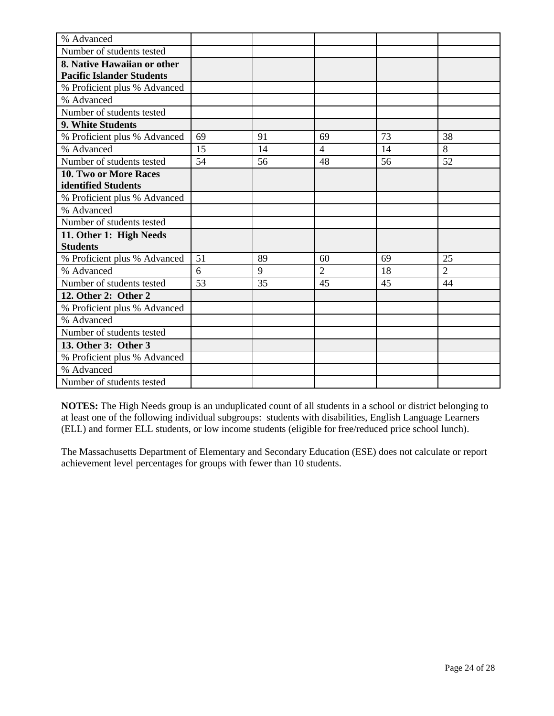| % Advanced                       |    |    |                |    |                |
|----------------------------------|----|----|----------------|----|----------------|
| Number of students tested        |    |    |                |    |                |
| 8. Native Hawaiian or other      |    |    |                |    |                |
| <b>Pacific Islander Students</b> |    |    |                |    |                |
| % Proficient plus % Advanced     |    |    |                |    |                |
| % Advanced                       |    |    |                |    |                |
| Number of students tested        |    |    |                |    |                |
| 9. White Students                |    |    |                |    |                |
| % Proficient plus % Advanced     | 69 | 91 | 69             | 73 | 38             |
| % Advanced                       | 15 | 14 | $\overline{4}$ | 14 | 8              |
| Number of students tested        | 54 | 56 | 48             | 56 | 52             |
| 10. Two or More Races            |    |    |                |    |                |
| identified Students              |    |    |                |    |                |
| % Proficient plus % Advanced     |    |    |                |    |                |
| % Advanced                       |    |    |                |    |                |
| Number of students tested        |    |    |                |    |                |
| 11. Other 1: High Needs          |    |    |                |    |                |
| <b>Students</b>                  |    |    |                |    |                |
| % Proficient plus % Advanced     | 51 | 89 | 60             | 69 | 25             |
| % Advanced                       | 6  | 9  | $\overline{2}$ | 18 | $\overline{2}$ |
| Number of students tested        | 53 | 35 | 45             | 45 | 44             |
| 12. Other 2: Other 2             |    |    |                |    |                |
| % Proficient plus % Advanced     |    |    |                |    |                |
| % Advanced                       |    |    |                |    |                |
| Number of students tested        |    |    |                |    |                |
| 13. Other 3: Other 3             |    |    |                |    |                |
| % Proficient plus % Advanced     |    |    |                |    |                |
| % Advanced                       |    |    |                |    |                |
| Number of students tested        |    |    |                |    |                |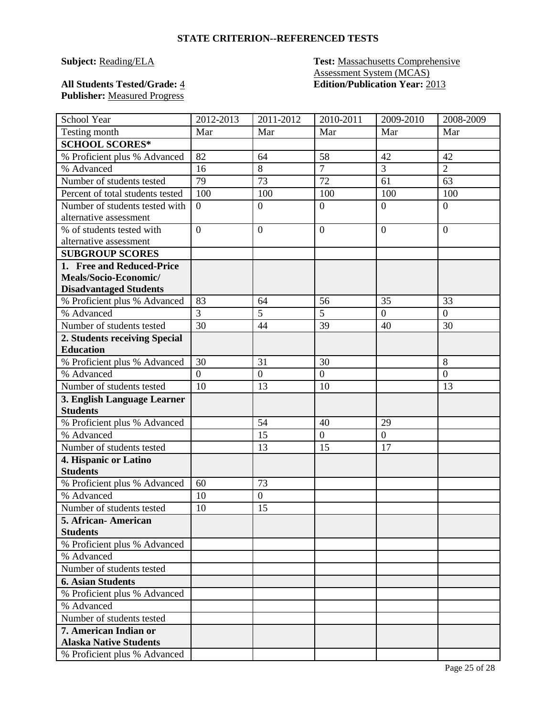**Subject: Reading/ELA Test: Massachusetts Comprehensive** Assessment System (MCAS) **All Students Tested/Grade:** 4 **Edition/Publication Year:** 2013

## **Publisher:** Measured Progress

| School Year                                              | 2012-2013      | 2011-2012        | 2010-2011        | 2009-2010      | 2008-2009        |
|----------------------------------------------------------|----------------|------------------|------------------|----------------|------------------|
| Testing month                                            | Mar            | Mar              | Mar              | Mar            | Mar              |
| <b>SCHOOL SCORES*</b>                                    |                |                  |                  |                |                  |
| % Proficient plus % Advanced                             | 82             | 64               | 58               | 42             | 42               |
| % Advanced                                               | 16             | 8                | $\overline{7}$   | 3              | $\overline{2}$   |
| Number of students tested                                | 79             | 73               | 72               | 61             | 63               |
| Percent of total students tested                         | 100            | 100              | 100              | 100            | 100              |
| Number of students tested with<br>alternative assessment | $\overline{0}$ | $\overline{0}$   | $\overline{0}$   | $\theta$       | $\overline{0}$   |
| % of students tested with<br>alternative assessment      | $\overline{0}$ | $\overline{0}$   | $\overline{0}$   | $\theta$       | $\overline{0}$   |
| <b>SUBGROUP SCORES</b>                                   |                |                  |                  |                |                  |
| 1. Free and Reduced-Price                                |                |                  |                  |                |                  |
| Meals/Socio-Economic/                                    |                |                  |                  |                |                  |
| <b>Disadvantaged Students</b>                            |                |                  |                  |                |                  |
| % Proficient plus % Advanced                             | 83             | 64               | 56               | 35             | 33               |
| % Advanced                                               | $\overline{3}$ | 5                | 5                | $\overline{0}$ | $\boldsymbol{0}$ |
| Number of students tested                                | 30             | 44               | 39               | 40             | 30               |
| 2. Students receiving Special                            |                |                  |                  |                |                  |
| <b>Education</b>                                         |                |                  |                  |                |                  |
| % Proficient plus % Advanced                             | 30             | 31               | 30               |                | 8                |
| % Advanced                                               | $\overline{0}$ | $\boldsymbol{0}$ | $\boldsymbol{0}$ |                | $\boldsymbol{0}$ |
| Number of students tested                                | 10             | 13               | 10               |                | 13               |
| 3. English Language Learner                              |                |                  |                  |                |                  |
| <b>Students</b>                                          |                |                  |                  |                |                  |
| % Proficient plus % Advanced                             |                | 54               | 40               | 29             |                  |
| % Advanced                                               |                | 15               | $\boldsymbol{0}$ | $\mathbf{0}$   |                  |
| Number of students tested                                |                | 13               | 15               | 17             |                  |
| 4. Hispanic or Latino<br><b>Students</b>                 |                |                  |                  |                |                  |
| % Proficient plus % Advanced                             | 60             | 73               |                  |                |                  |
| % Advanced                                               | 10             | $\overline{0}$   |                  |                |                  |
| Number of students tested                                | 10             | 15               |                  |                |                  |
| 5. African - American                                    |                |                  |                  |                |                  |
| <b>Students</b>                                          |                |                  |                  |                |                  |
| % Proficient plus % Advanced                             |                |                  |                  |                |                  |
| % Advanced                                               |                |                  |                  |                |                  |
| Number of students tested                                |                |                  |                  |                |                  |
| <b>6. Asian Students</b>                                 |                |                  |                  |                |                  |
| % Proficient plus % Advanced                             |                |                  |                  |                |                  |
| % Advanced                                               |                |                  |                  |                |                  |
| Number of students tested                                |                |                  |                  |                |                  |
| 7. American Indian or<br><b>Alaska Native Students</b>   |                |                  |                  |                |                  |
| % Proficient plus % Advanced                             |                |                  |                  |                |                  |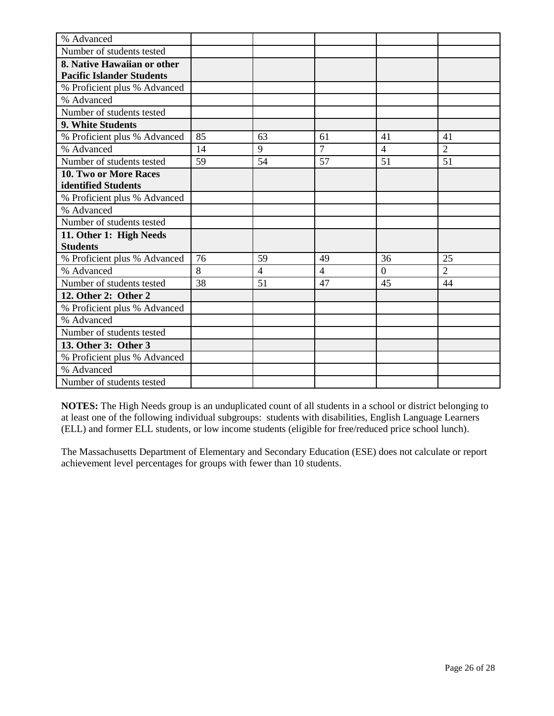| % Advanced                       |    |                |                |                |                |
|----------------------------------|----|----------------|----------------|----------------|----------------|
| Number of students tested        |    |                |                |                |                |
| 8. Native Hawaiian or other      |    |                |                |                |                |
| <b>Pacific Islander Students</b> |    |                |                |                |                |
| % Proficient plus % Advanced     |    |                |                |                |                |
| % Advanced                       |    |                |                |                |                |
| Number of students tested        |    |                |                |                |                |
| 9. White Students                |    |                |                |                |                |
| % Proficient plus % Advanced     | 85 | 63             | 61             | 41             | 41             |
| % Advanced                       | 14 | 9              | $\overline{7}$ | $\overline{4}$ | $\overline{2}$ |
| Number of students tested        | 59 | 54             | 57             | 51             | 51             |
| 10. Two or More Races            |    |                |                |                |                |
| identified Students              |    |                |                |                |                |
| % Proficient plus % Advanced     |    |                |                |                |                |
| % Advanced                       |    |                |                |                |                |
| Number of students tested        |    |                |                |                |                |
| 11. Other 1: High Needs          |    |                |                |                |                |
| <b>Students</b>                  |    |                |                |                |                |
| % Proficient plus % Advanced     | 76 | 59             | 49             | 36             | 25             |
| % Advanced                       | 8  | $\overline{4}$ | $\overline{4}$ | $\theta$       | $\overline{2}$ |
| Number of students tested        | 38 | 51             | 47             | 45             | 44             |
| 12. Other 2: Other 2             |    |                |                |                |                |
| % Proficient plus % Advanced     |    |                |                |                |                |
| % Advanced                       |    |                |                |                |                |
| Number of students tested        |    |                |                |                |                |
| 13. Other 3: Other 3             |    |                |                |                |                |
| % Proficient plus % Advanced     |    |                |                |                |                |
| % Advanced                       |    |                |                |                |                |
| Number of students tested        |    |                |                |                |                |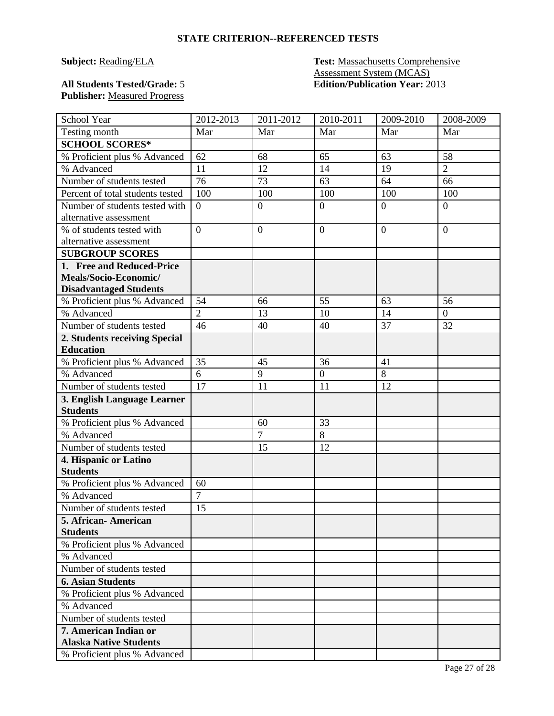**Subject: Reading/ELA Test: Massachusetts Comprehensive** Assessment System (MCAS) **All Students Tested/Grade:** 5 **Edition/Publication Year:** 2013

## **Publisher:** Measured Progress

| School Year                      | 2012-2013      | 2011-2012      | 2010-2011        | 2009-2010 | 2008-2009        |
|----------------------------------|----------------|----------------|------------------|-----------|------------------|
| Testing month                    | Mar            | Mar            | Mar              | Mar       | Mar              |
| <b>SCHOOL SCORES*</b>            |                |                |                  |           |                  |
| % Proficient plus % Advanced     | 62             | 68             | 65               | 63        | 58               |
| % Advanced                       | 11             | 12             | 14               | 19        | $\overline{2}$   |
| Number of students tested        | 76             | 73             | 63               | 64        | 66               |
| Percent of total students tested | 100            | 100            | 100              | 100       | 100              |
| Number of students tested with   | $\overline{0}$ | $\overline{0}$ | $\overline{0}$   | $\theta$  | $\overline{0}$   |
| alternative assessment           |                |                |                  |           |                  |
| % of students tested with        | $\overline{0}$ | $\overline{0}$ | $\overline{0}$   | $\theta$  | $\overline{0}$   |
| alternative assessment           |                |                |                  |           |                  |
| <b>SUBGROUP SCORES</b>           |                |                |                  |           |                  |
| 1. Free and Reduced-Price        |                |                |                  |           |                  |
| Meals/Socio-Economic/            |                |                |                  |           |                  |
| <b>Disadvantaged Students</b>    |                |                |                  |           |                  |
| % Proficient plus % Advanced     | 54             | 66             | 55               | 63        | 56               |
| % Advanced                       | $\overline{2}$ | 13             | 10               | 14        | $\boldsymbol{0}$ |
| Number of students tested        | 46             | 40             | 40               | 37        | 32               |
| 2. Students receiving Special    |                |                |                  |           |                  |
| <b>Education</b>                 |                |                |                  |           |                  |
| % Proficient plus % Advanced     | 35             | 45             | 36               | 41        |                  |
| % Advanced                       | 6              | 9              | $\boldsymbol{0}$ | 8         |                  |
| Number of students tested        | 17             | 11             | 11               | 12        |                  |
| 3. English Language Learner      |                |                |                  |           |                  |
| <b>Students</b>                  |                |                |                  |           |                  |
| % Proficient plus % Advanced     |                | 60             | 33               |           |                  |
| % Advanced                       |                | $\overline{7}$ | 8                |           |                  |
| Number of students tested        |                | 15             | 12               |           |                  |
| 4. Hispanic or Latino            |                |                |                  |           |                  |
| <b>Students</b>                  |                |                |                  |           |                  |
| % Proficient plus % Advanced     | 60             |                |                  |           |                  |
| % Advanced                       | $\overline{7}$ |                |                  |           |                  |
| Number of students tested        | 15             |                |                  |           |                  |
| 5. African-American              |                |                |                  |           |                  |
| <b>Students</b>                  |                |                |                  |           |                  |
| % Proficient plus % Advanced     |                |                |                  |           |                  |
| % Advanced                       |                |                |                  |           |                  |
| Number of students tested        |                |                |                  |           |                  |
| <b>6. Asian Students</b>         |                |                |                  |           |                  |
| % Proficient plus % Advanced     |                |                |                  |           |                  |
| % Advanced                       |                |                |                  |           |                  |
| Number of students tested        |                |                |                  |           |                  |
| 7. American Indian or            |                |                |                  |           |                  |
| <b>Alaska Native Students</b>    |                |                |                  |           |                  |
| % Proficient plus % Advanced     |                |                |                  |           |                  |